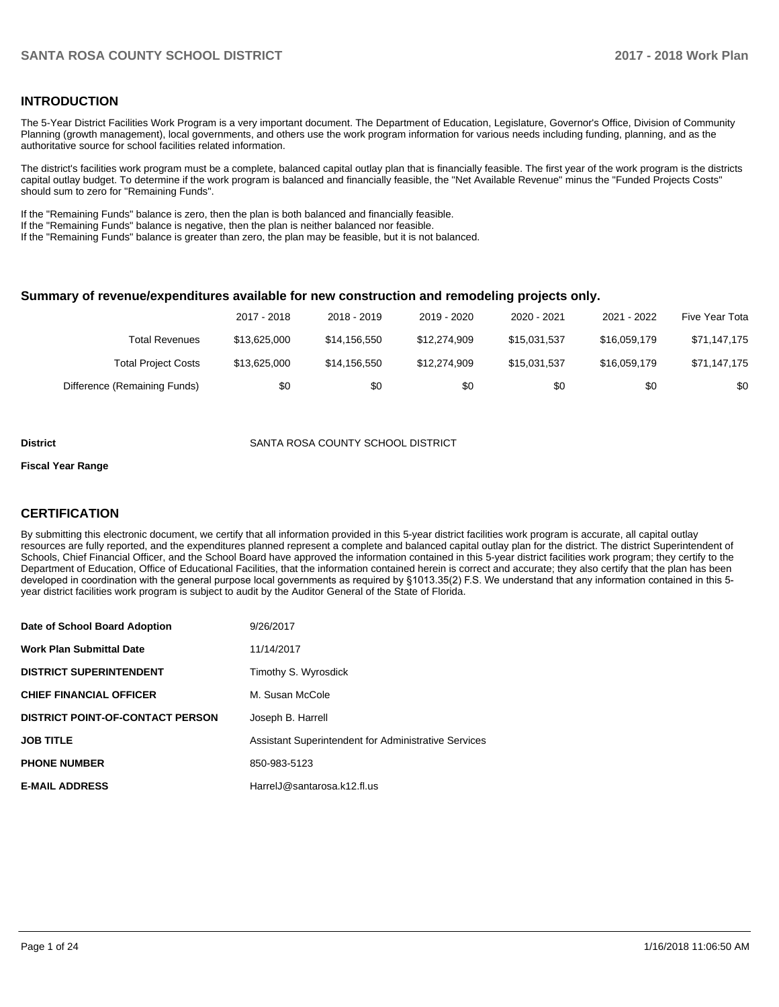### **INTRODUCTION**

The 5-Year District Facilities Work Program is a very important document. The Department of Education, Legislature, Governor's Office, Division of Community Planning (growth management), local governments, and others use the work program information for various needs including funding, planning, and as the authoritative source for school facilities related information.

The district's facilities work program must be a complete, balanced capital outlay plan that is financially feasible. The first year of the work program is the districts capital outlay budget. To determine if the work program is balanced and financially feasible, the "Net Available Revenue" minus the "Funded Projects Costs" should sum to zero for "Remaining Funds".

If the "Remaining Funds" balance is zero, then the plan is both balanced and financially feasible.

If the "Remaining Funds" balance is negative, then the plan is neither balanced nor feasible.

If the "Remaining Funds" balance is greater than zero, the plan may be feasible, but it is not balanced.

### **Summary of revenue/expenditures available for new construction and remodeling projects only.**

|                              | 2017 - 2018  | 2018 - 2019  | 2019 - 2020  | 2020 - 2021  | 2021 - 2022  | Five Year Tota |
|------------------------------|--------------|--------------|--------------|--------------|--------------|----------------|
| Total Revenues               | \$13,625,000 | \$14.156.550 | \$12,274,909 | \$15.031.537 | \$16,059,179 | \$71,147,175   |
| <b>Total Project Costs</b>   | \$13,625,000 | \$14.156.550 | \$12,274,909 | \$15,031,537 | \$16,059,179 | \$71,147,175   |
| Difference (Remaining Funds) | \$0          | \$0          | \$0          | \$0          | \$0          | \$0            |

#### **District** SANTA ROSA COUNTY SCHOOL DISTRICT

#### **Fiscal Year Range**

### **CERTIFICATION**

By submitting this electronic document, we certify that all information provided in this 5-year district facilities work program is accurate, all capital outlay resources are fully reported, and the expenditures planned represent a complete and balanced capital outlay plan for the district. The district Superintendent of Schools, Chief Financial Officer, and the School Board have approved the information contained in this 5-year district facilities work program; they certify to the Department of Education, Office of Educational Facilities, that the information contained herein is correct and accurate; they also certify that the plan has been developed in coordination with the general purpose local governments as required by §1013.35(2) F.S. We understand that any information contained in this 5year district facilities work program is subject to audit by the Auditor General of the State of Florida.

| Date of School Board Adoption           | 9/26/2017                                            |
|-----------------------------------------|------------------------------------------------------|
| <b>Work Plan Submittal Date</b>         | 11/14/2017                                           |
| <b>DISTRICT SUPERINTENDENT</b>          | Timothy S. Wyrosdick                                 |
| <b>CHIEF FINANCIAL OFFICER</b>          | M. Susan McCole                                      |
| <b>DISTRICT POINT-OF-CONTACT PERSON</b> | Joseph B. Harrell                                    |
| <b>JOB TITLE</b>                        | Assistant Superintendent for Administrative Services |
| <b>PHONE NUMBER</b>                     | 850-983-5123                                         |
| <b>E-MAIL ADDRESS</b>                   | HarrelJ@santarosa.k12.fl.us                          |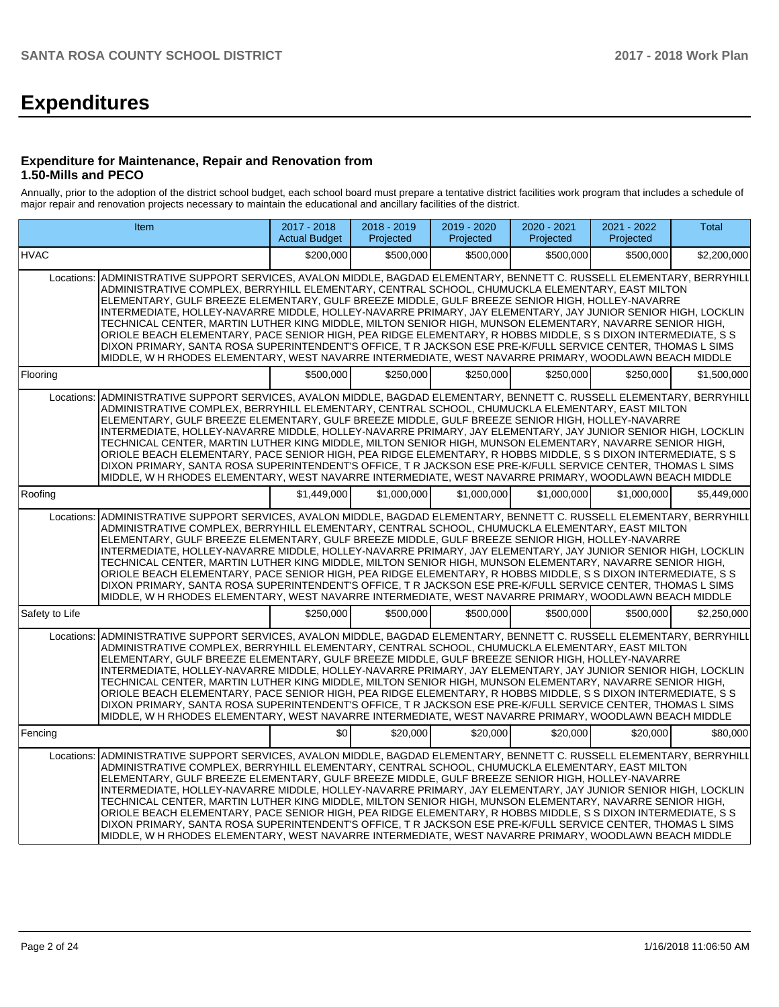# **Expenditures**

### **Expenditure for Maintenance, Repair and Renovation from 1.50-Mills and PECO**

Annually, prior to the adoption of the district school budget, each school board must prepare a tentative district facilities work program that includes a schedule of major repair and renovation projects necessary to maintain the educational and ancillary facilities of the district.

| <b>Item</b>                                                                                                                                                                                                                                                                                                                                                                                                                                                                                                                                                                                                                                                                                                                                                                                                                                                                                         | $2017 - 2018$<br><b>Actual Budget</b> | 2018 - 2019<br>Projected | 2019 - 2020<br>Projected | 2020 - 2021<br>Projected | 2021 - 2022<br>Projected | Total       |
|-----------------------------------------------------------------------------------------------------------------------------------------------------------------------------------------------------------------------------------------------------------------------------------------------------------------------------------------------------------------------------------------------------------------------------------------------------------------------------------------------------------------------------------------------------------------------------------------------------------------------------------------------------------------------------------------------------------------------------------------------------------------------------------------------------------------------------------------------------------------------------------------------------|---------------------------------------|--------------------------|--------------------------|--------------------------|--------------------------|-------------|
| <b>HVAC</b>                                                                                                                                                                                                                                                                                                                                                                                                                                                                                                                                                                                                                                                                                                                                                                                                                                                                                         | \$200.000                             | \$500.000                | \$500.000                | \$500.000                | \$500.000                | \$2,200,000 |
| ADMINISTRATIVE SUPPORT SERVICES, AVALON MIDDLE, BAGDAD ELEMENTARY, BENNETT C. RUSSELL ELEMENTARY, BERRYHILL<br>Locations:<br>ADMINISTRATIVE COMPLEX, BERRYHILL ELEMENTARY, CENTRAL SCHOOL, CHUMUCKLA ELEMENTARY, EAST MILTON<br>ELEMENTARY, GULF BREEZE ELEMENTARY, GULF BREEZE MIDDLE, GULF BREEZE SENIOR HIGH, HOLLEY-NAVARRE<br>INTERMEDIATE, HOLLEY-NAVARRE MIDDLE, HOLLEY-NAVARRE PRIMARY, JAY ELEMENTARY, JAY JUNIOR SENIOR HIGH, LOCKLIN<br>TECHNICAL CENTER, MARTIN LUTHER KING MIDDLE, MILTON SENIOR HIGH, MUNSON ELEMENTARY, NAVARRE SENIOR HIGH,<br>ORIOLE BEACH ELEMENTARY, PACE SENIOR HIGH, PEA RIDGE ELEMENTARY, R HOBBS MIDDLE, S S DIXON INTERMEDIATE, S S<br>DIXON PRIMARY, SANTA ROSA SUPERINTENDENT'S OFFICE, T R JACKSON ESE PRE-K/FULL SERVICE CENTER, THOMAS L SIMS<br>MIDDLE, W H RHODES ELEMENTARY, WEST NAVARRE INTERMEDIATE, WEST NAVARRE PRIMARY, WOODLAWN BEACH MIDDLE |                                       |                          |                          |                          |                          |             |
| Flooring                                                                                                                                                                                                                                                                                                                                                                                                                                                                                                                                                                                                                                                                                                                                                                                                                                                                                            | \$500,000                             | \$250.000                | \$250.000                | \$250.000                | \$250.000                | \$1,500,000 |
| ADMINISTRATIVE SUPPORT SERVICES, AVALON MIDDLE, BAGDAD ELEMENTARY, BENNETT C. RUSSELL ELEMENTARY, BERRYHILL<br>Locations:<br>ADMINISTRATIVE COMPLEX, BERRYHILL ELEMENTARY, CENTRAL SCHOOL, CHUMUCKLA ELEMENTARY, EAST MILTON<br>ELEMENTARY, GULF BREEZE ELEMENTARY, GULF BREEZE MIDDLE, GULF BREEZE SENIOR HIGH, HOLLEY-NAVARRE<br>INTERMEDIATE, HOLLEY-NAVARRE MIDDLE, HOLLEY-NAVARRE PRIMARY, JAY ELEMENTARY, JAY JUNIOR SENIOR HIGH, LOCKLIN<br>TECHNICAL CENTER, MARTIN LUTHER KING MIDDLE, MILTON SENIOR HIGH, MUNSON ELEMENTARY, NAVARRE SENIOR HIGH,<br>ORIOLE BEACH ELEMENTARY, PACE SENIOR HIGH, PEA RIDGE ELEMENTARY, R HOBBS MIDDLE, S S DIXON INTERMEDIATE, S S<br>DIXON PRIMARY, SANTA ROSA SUPERINTENDENT'S OFFICE, T R JACKSON ESE PRE-K/FULL SERVICE CENTER, THOMAS L SIMS<br>MIDDLE, W H RHODES ELEMENTARY, WEST NAVARRE INTERMEDIATE, WEST NAVARRE PRIMARY, WOODLAWN BEACH MIDDLE |                                       |                          |                          |                          |                          |             |
| Roofing                                                                                                                                                                                                                                                                                                                                                                                                                                                                                                                                                                                                                                                                                                                                                                                                                                                                                             | \$1.449.000                           | \$1.000.000              | \$1.000.000              | \$1.000.000              | \$1.000.000              | \$5.449.000 |
| ADMINISTRATIVE SUPPORT SERVICES, AVALON MIDDLE, BAGDAD ELEMENTARY, BENNETT C. RUSSELL ELEMENTARY, BERRYHILL<br>Locations:<br>ADMINISTRATIVE COMPLEX, BERRYHILL ELEMENTARY, CENTRAL SCHOOL, CHUMUCKLA ELEMENTARY, EAST MILTON<br>ELEMENTARY, GULF BREEZE ELEMENTARY, GULF BREEZE MIDDLE, GULF BREEZE SENIOR HIGH, HOLLEY-NAVARRE<br>INTERMEDIATE, HOLLEY-NAVARRE MIDDLE, HOLLEY-NAVARRE PRIMARY, JAY ELEMENTARY, JAY JUNIOR SENIOR HIGH, LOCKLIN<br>TECHNICAL CENTER, MARTIN LUTHER KING MIDDLE, MILTON SENIOR HIGH, MUNSON ELEMENTARY, NAVARRE SENIOR HIGH,<br>ORIOLE BEACH ELEMENTARY, PACE SENIOR HIGH, PEA RIDGE ELEMENTARY, R HOBBS MIDDLE, S S DIXON INTERMEDIATE, S S<br>DIXON PRIMARY, SANTA ROSA SUPERINTENDENT'S OFFICE, T R JACKSON ESE PRE-K/FULL SERVICE CENTER, THOMAS L SIMS<br>MIDDLE, W H RHODES ELEMENTARY, WEST NAVARRE INTERMEDIATE, WEST NAVARRE PRIMARY, WOODLAWN BEACH MIDDLE |                                       |                          |                          |                          |                          |             |
| Safety to Life                                                                                                                                                                                                                                                                                                                                                                                                                                                                                                                                                                                                                                                                                                                                                                                                                                                                                      | \$250,000                             | \$500.000                | \$500,000                | \$500.000                | \$500.000                | \$2,250,000 |
| ADMINISTRATIVE SUPPORT SERVICES, AVALON MIDDLE, BAGDAD ELEMENTARY, BENNETT C. RUSSELL ELEMENTARY, BERRYHILL<br>Locations:<br>ADMINISTRATIVE COMPLEX, BERRYHILL ELEMENTARY, CENTRAL SCHOOL, CHUMUCKLA ELEMENTARY, EAST MILTON<br>ELEMENTARY, GULF BREEZE ELEMENTARY, GULF BREEZE MIDDLE, GULF BREEZE SENIOR HIGH, HOLLEY-NAVARRE<br>INTERMEDIATE, HOLLEY-NAVARRE MIDDLE, HOLLEY-NAVARRE PRIMARY, JAY ELEMENTARY, JAY JUNIOR SENIOR HIGH, LOCKLIN<br>TECHNICAL CENTER, MARTIN LUTHER KING MIDDLE, MILTON SENIOR HIGH, MUNSON ELEMENTARY, NAVARRE SENIOR HIGH,<br>ORIOLE BEACH ELEMENTARY, PACE SENIOR HIGH, PEA RIDGE ELEMENTARY, R HOBBS MIDDLE, S S DIXON INTERMEDIATE, S S<br>DIXON PRIMARY, SANTA ROSA SUPERINTENDENT'S OFFICE, T R JACKSON ESE PRE-K/FULL SERVICE CENTER, THOMAS L SIMS<br>MIDDLE, W H RHODES ELEMENTARY, WEST NAVARRE INTERMEDIATE, WEST NAVARRE PRIMARY, WOODLAWN BEACH MIDDLE |                                       |                          |                          |                          |                          |             |
| Fencing                                                                                                                                                                                                                                                                                                                                                                                                                                                                                                                                                                                                                                                                                                                                                                                                                                                                                             | \$0                                   | \$20,000                 | \$20,000                 | \$20,000                 | \$20,000                 | \$80,000    |
| ADMINISTRATIVE SUPPORT SERVICES, AVALON MIDDLE, BAGDAD ELEMENTARY, BENNETT C. RUSSELL ELEMENTARY, BERRYHILL<br>Locations:<br>ADMINISTRATIVE COMPLEX, BERRYHILL ELEMENTARY, CENTRAL SCHOOL, CHUMUCKLA ELEMENTARY, EAST MILTON<br>ELEMENTARY, GULF BREEZE ELEMENTARY, GULF BREEZE MIDDLE, GULF BREEZE SENIOR HIGH, HOLLEY-NAVARRE<br>INTERMEDIATE, HOLLEY-NAVARRE MIDDLE, HOLLEY-NAVARRE PRIMARY, JAY ELEMENTARY, JAY JUNIOR SENIOR HIGH, LOCKLIN<br>TECHNICAL CENTER, MARTIN LUTHER KING MIDDLE, MILTON SENIOR HIGH, MUNSON ELEMENTARY, NAVARRE SENIOR HIGH,<br>ORIOLE BEACH ELEMENTARY, PACE SENIOR HIGH, PEA RIDGE ELEMENTARY, R HOBBS MIDDLE, S S DIXON INTERMEDIATE, S S<br>DIXON PRIMARY, SANTA ROSA SUPERINTENDENT'S OFFICE, T R JACKSON ESE PRE-K/FULL SERVICE CENTER, THOMAS L SIMS<br>MIDDLE, W H RHODES ELEMENTARY, WEST NAVARRE INTERMEDIATE, WEST NAVARRE PRIMARY, WOODLAWN BEACH MIDDLE |                                       |                          |                          |                          |                          |             |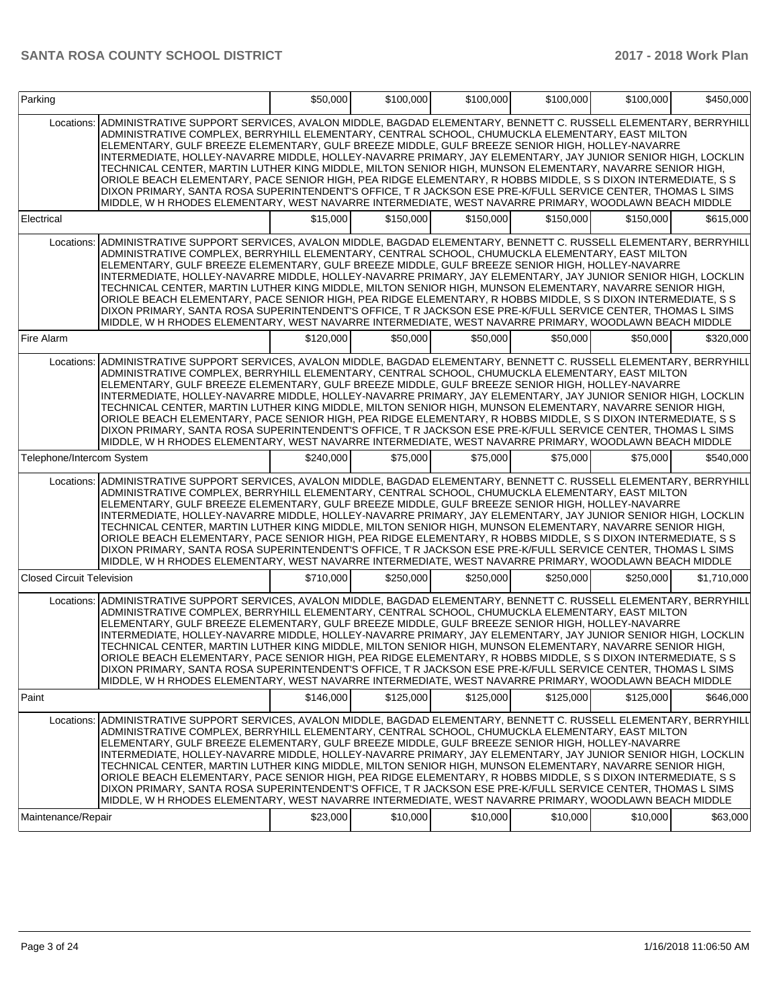| Parking                          |                                                                                                                                                                                                                                                                                                                                                                                                                                                                                                                                                                                                                                                                                                                                                                                                                                                                                       | \$50,000  | \$100,000 | \$100,000 | \$100,000 | \$100,000 | \$450,000   |
|----------------------------------|---------------------------------------------------------------------------------------------------------------------------------------------------------------------------------------------------------------------------------------------------------------------------------------------------------------------------------------------------------------------------------------------------------------------------------------------------------------------------------------------------------------------------------------------------------------------------------------------------------------------------------------------------------------------------------------------------------------------------------------------------------------------------------------------------------------------------------------------------------------------------------------|-----------|-----------|-----------|-----------|-----------|-------------|
| Locations:                       | ADMINISTRATIVE SUPPORT SERVICES, AVALON MIDDLE, BAGDAD ELEMENTARY, BENNETT C. RUSSELL ELEMENTARY, BERRYHILL<br>ADMINISTRATIVE COMPLEX, BERRYHILL ELEMENTARY, CENTRAL SCHOOL, CHUMUCKLA ELEMENTARY, EAST MILTON<br>ELEMENTARY, GULF BREEZE ELEMENTARY, GULF BREEZE MIDDLE, GULF BREEZE SENIOR HIGH, HOLLEY-NAVARRE<br>INTERMEDIATE, HOLLEY-NAVARRE MIDDLE, HOLLEY-NAVARRE PRIMARY, JAY ELEMENTARY, JAY JUNIOR SENIOR HIGH, LOCKLIN<br>TECHNICAL CENTER, MARTIN LUTHER KING MIDDLE, MILTON SENIOR HIGH, MUNSON ELEMENTARY, NAVARRE SENIOR HIGH,<br>ORIOLE BEACH ELEMENTARY. PACE SENIOR HIGH, PEA RIDGE ELEMENTARY, R HOBBS MIDDLE, S S DIXON INTERMEDIATE, S S<br>DIXON PRIMARY, SANTA ROSA SUPERINTENDENT'S OFFICE, T R JACKSON ESE PRE-K/FULL SERVICE CENTER, THOMAS L SIMS<br>MIDDLE, W H RHODES ELEMENTARY, WEST NAVARRE INTERMEDIATE, WEST NAVARRE PRIMARY, WOODLAWN BEACH MIDDLE |           |           |           |           |           |             |
| Electrical                       |                                                                                                                                                                                                                                                                                                                                                                                                                                                                                                                                                                                                                                                                                                                                                                                                                                                                                       | \$15,000  | \$150,000 | \$150,000 | \$150,000 | \$150,000 | \$615,000   |
| Locations:                       | ADMINISTRATIVE SUPPORT SERVICES, AVALON MIDDLE, BAGDAD ELEMENTARY, BENNETT C. RUSSELL ELEMENTARY, BERRYHILL<br>ADMINISTRATIVE COMPLEX, BERRYHILL ELEMENTARY, CENTRAL SCHOOL, CHUMUCKLA ELEMENTARY, EAST MILTON<br>ELEMENTARY, GULF BREEZE ELEMENTARY, GULF BREEZE MIDDLE, GULF BREEZE SENIOR HIGH, HOLLEY-NAVARRE<br>INTERMEDIATE, HOLLEY-NAVARRE MIDDLE, HOLLEY-NAVARRE PRIMARY, JAY ELEMENTARY, JAY JUNIOR SENIOR HIGH, LOCKLIN<br>TECHNICAL CENTER, MARTIN LUTHER KING MIDDLE, MILTON SENIOR HIGH, MUNSON ELEMENTARY, NAVARRE SENIOR HIGH,<br>ORIOLE BEACH ELEMENTARY, PACE SENIOR HIGH, PEA RIDGE ELEMENTARY, R HOBBS MIDDLE, S S DIXON INTERMEDIATE, S S<br>DIXON PRIMARY, SANTA ROSA SUPERINTENDENT'S OFFICE, T R JACKSON ESE PRE-K/FULL SERVICE CENTER, THOMAS L SIMS<br>MIDDLE, W H RHODES ELEMENTARY, WEST NAVARRE INTERMEDIATE, WEST NAVARRE PRIMARY, WOODLAWN BEACH MIDDLE |           |           |           |           |           |             |
| Fire Alarm                       |                                                                                                                                                                                                                                                                                                                                                                                                                                                                                                                                                                                                                                                                                                                                                                                                                                                                                       | \$120,000 | \$50,000  | \$50,000  | \$50,000  | \$50,000  | \$320,000   |
| Locations:                       | ADMINISTRATIVE SUPPORT SERVICES, AVALON MIDDLE, BAGDAD ELEMENTARY, BENNETT C. RUSSELL ELEMENTARY, BERRYHILL<br>ADMINISTRATIVE COMPLEX, BERRYHILL ELEMENTARY, CENTRAL SCHOOL, CHUMUCKLA ELEMENTARY, EAST MILTON<br>ELEMENTARY, GULF BREEZE ELEMENTARY, GULF BREEZE MIDDLE, GULF BREEZE SENIOR HIGH, HOLLEY-NAVARRE<br>INTERMEDIATE, HOLLEY-NAVARRE MIDDLE, HOLLEY-NAVARRE PRIMARY, JAY ELEMENTARY, JAY JUNIOR SENIOR HIGH, LOCKLIN<br>TECHNICAL CENTER, MARTIN LUTHER KING MIDDLE, MILTON SENIOR HIGH, MUNSON ELEMENTARY, NAVARRE SENIOR HIGH,<br>ORIOLE BEACH ELEMENTARY, PACE SENIOR HIGH, PEA RIDGE ELEMENTARY, R HOBBS MIDDLE, S S DIXON INTERMEDIATE, S S<br>DIXON PRIMARY, SANTA ROSA SUPERINTENDENT'S OFFICE, T R JACKSON ESE PRE-K/FULL SERVICE CENTER, THOMAS L SIMS<br>MIDDLE. W H RHODES ELEMENTARY. WEST NAVARRE INTERMEDIATE. WEST NAVARRE PRIMARY. WOODLAWN BEACH MIDDLE |           |           |           |           |           |             |
| Telephone/Intercom System        |                                                                                                                                                                                                                                                                                                                                                                                                                                                                                                                                                                                                                                                                                                                                                                                                                                                                                       | \$240.000 | \$75,000  | \$75,000  | \$75,000  | \$75,000  | \$540,000   |
| Locations:                       | ADMINISTRATIVE SUPPORT SERVICES, AVALON MIDDLE, BAGDAD ELEMENTARY, BENNETT C. RUSSELL ELEMENTARY, BERRYHILL<br>ADMINISTRATIVE COMPLEX, BERRYHILL ELEMENTARY, CENTRAL SCHOOL, CHUMUCKLA ELEMENTARY, EAST MILTON<br>ELEMENTARY, GULF BREEZE ELEMENTARY, GULF BREEZE MIDDLE, GULF BREEZE SENIOR HIGH, HOLLEY-NAVARRE<br>INTERMEDIATE, HOLLEY-NAVARRE MIDDLE, HOLLEY-NAVARRE PRIMARY, JAY ELEMENTARY, JAY JUNIOR SENIOR HIGH, LOCKLIN<br>TECHNICAL CENTER, MARTIN LUTHER KING MIDDLE, MILTON SENIOR HIGH, MUNSON ELEMENTARY, NAVARRE SENIOR HIGH,<br>ORIOLE BEACH ELEMENTARY, PACE SENIOR HIGH, PEA RIDGE ELEMENTARY, R HOBBS MIDDLE, S S DIXON INTERMEDIATE, S S<br>DIXON PRIMARY, SANTA ROSA SUPERINTENDENT'S OFFICE, T R JACKSON ESE PRE-K/FULL SERVICE CENTER, THOMAS L SIMS<br>MIDDLE, W H RHODES ELEMENTARY, WEST NAVARRE INTERMEDIATE, WEST NAVARRE PRIMARY, WOODLAWN BEACH MIDDLE |           |           |           |           |           |             |
| <b>Closed Circuit Television</b> |                                                                                                                                                                                                                                                                                                                                                                                                                                                                                                                                                                                                                                                                                                                                                                                                                                                                                       | \$710,000 | \$250.000 | \$250.000 | \$250,000 | \$250.000 | \$1,710,000 |
| Locations:                       | ADMINISTRATIVE SUPPORT SERVICES, AVALON MIDDLE, BAGDAD ELEMENTARY, BENNETT C. RUSSELL ELEMENTARY, BERRYHILL<br>ADMINISTRATIVE COMPLEX, BERRYHILL ELEMENTARY, CENTRAL SCHOOL, CHUMUCKLA ELEMENTARY, EAST MILTON<br>ELEMENTARY, GULF BREEZE ELEMENTARY, GULF BREEZE MIDDLE, GULF BREEZE SENIOR HIGH, HOLLEY-NAVARRE<br>INTERMEDIATE, HOLLEY-NAVARRE MIDDLE, HOLLEY-NAVARRE PRIMARY, JAY ELEMENTARY, JAY JUNIOR SENIOR HIGH, LOCKLIN<br>TECHNICAL CENTER, MARTIN LUTHER KING MIDDLE, MILTON SENIOR HIGH, MUNSON ELEMENTARY, NAVARRE SENIOR HIGH,<br>ORIOLE BEACH ELEMENTARY, PACE SENIOR HIGH, PEA RIDGE ELEMENTARY, R HOBBS MIDDLE, S S DIXON INTERMEDIATE, S S<br>DIXON PRIMARY, SANTA ROSA SUPERINTENDENT'S OFFICE, T R JACKSON ESE PRE-K/FULL SERVICE CENTER, THOMAS L SIMS<br>MIDDLE, W H RHODES ELEMENTARY, WEST NAVARRE INTERMEDIATE, WEST NAVARRE PRIMARY, WOODLAWN BEACH MIDDLE |           |           |           |           |           |             |
| Paint                            |                                                                                                                                                                                                                                                                                                                                                                                                                                                                                                                                                                                                                                                                                                                                                                                                                                                                                       | \$146,000 | \$125,000 | \$125,000 | \$125,000 | \$125,000 | \$646,000   |
| Locations:<br>Maintenance/Repair | ADMINISTRATIVE SUPPORT SERVICES, AVALON MIDDLE, BAGDAD ELEMENTARY, BENNETT C. RUSSELL ELEMENTARY, BERRYHILL<br>ADMINISTRATIVE COMPLEX, BERRYHILL ELEMENTARY, CENTRAL SCHOOL, CHUMUCKLA ELEMENTARY, EAST MILTON<br>ELEMENTARY, GULF BREEZE ELEMENTARY, GULF BREEZE MIDDLE, GULF BREEZE SENIOR HIGH, HOLLEY-NAVARRE<br>INTERMEDIATE, HOLLEY-NAVARRE MIDDLE, HOLLEY-NAVARRE PRIMARY, JAY ELEMENTARY, JAY JUNIOR SENIOR HIGH, LOCKLIN<br>TECHNICAL CENTER, MARTIN LUTHER KING MIDDLE, MILTON SENIOR HIGH, MUNSON ELEMENTARY, NAVARRE SENIOR HIGH,<br>ORIOLE BEACH ELEMENTARY, PACE SENIOR HIGH, PEA RIDGE ELEMENTARY, R HOBBS MIDDLE, S S DIXON INTERMEDIATE, S S<br>DIXON PRIMARY, SANTA ROSA SUPERINTENDENT'S OFFICE, T R JACKSON ESE PRE-K/FULL SERVICE CENTER, THOMAS L SIMS<br>MIDDLE, W H RHODES ELEMENTARY, WEST NAVARRE INTERMEDIATE, WEST NAVARRE PRIMARY, WOODLAWN BEACH MIDDLE | \$23,000  | \$10,000  | \$10,000  | \$10,000  | \$10,000  | \$63,000    |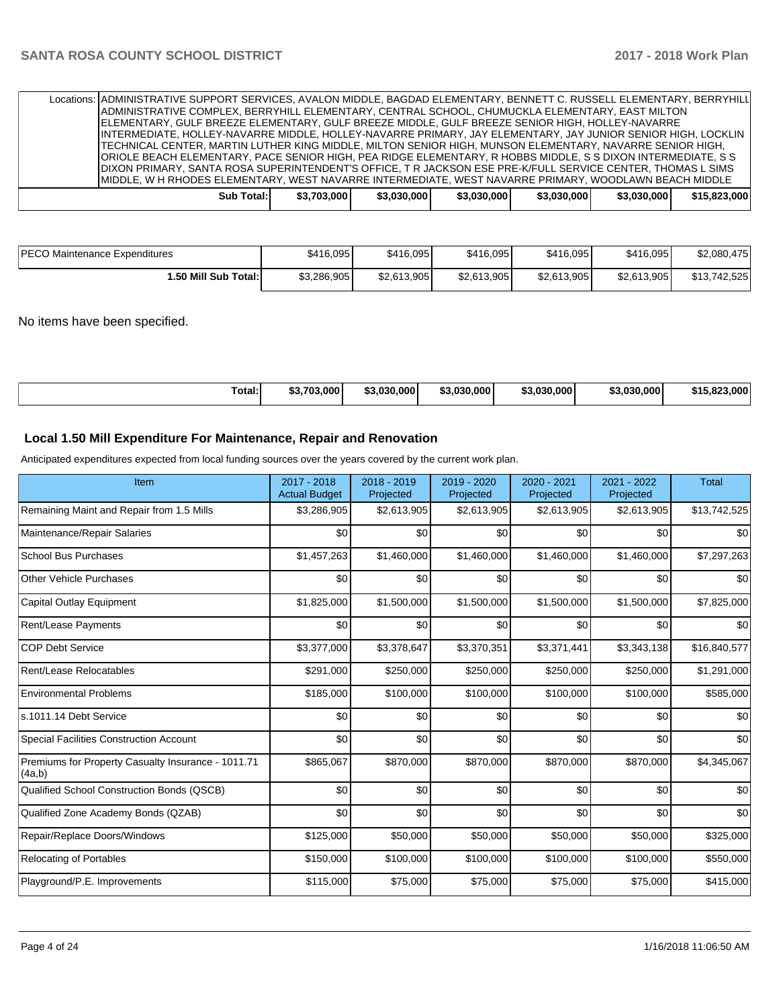|  |            |             |             | Locations:   ADMINISTRATIVE SUPPORT SERVICES, AVALON MIDDLE, BAGDAD ELEMENTARY, BENNETT C. RUSSELL ELEMENTARY, BERRYHILL<br>ADMINISTRATIVE COMPLEX, BERRYHILL ELEMENTARY, CENTRAL SCHOOL, CHUMUCKLA ELEMENTARY, EAST MILTON<br>IELEMENTARY. GULF BREEZE ELEMENTARY. GULF BREEZE MIDDLE. GULF BREEZE SENIOR HIGH. HOLLEY-NAVARRE<br>IINTERMEDIATE, HOLLEY-NAVARRE MIDDLE, HOLLEY-NAVARRE PRIMARY, JAY ELEMENTARY, JAY JUNIOR SENIOR HIGH, LOCKLIN<br>TECHNICAL CENTER, MARTIN LUTHER KING MIDDLE, MILTON SENIOR HIGH, MUNSON ELEMENTARY, NAVARRE SENIOR HIGH, |             |             |              |
|--|------------|-------------|-------------|--------------------------------------------------------------------------------------------------------------------------------------------------------------------------------------------------------------------------------------------------------------------------------------------------------------------------------------------------------------------------------------------------------------------------------------------------------------------------------------------------------------------------------------------------------------|-------------|-------------|--------------|
|  |            |             |             | ORIOLE BEACH ELEMENTARY, PACE SENIOR HIGH, PEA RIDGE ELEMENTARY, R HOBBS MIDDLE, S S DIXON INTERMEDIATE, S S<br>DIXON PRIMARY, SANTA ROSA SUPERINTENDENT'S OFFICE, T R JACKSON ESE PRE-K/FULL SERVICE CENTER, THOMAS L SIMS<br>IMIDDLE, W H RHODES ELEMENTARY, WEST NAVARRE INTERMEDIATE, WEST NAVARRE PRIMARY, WOODLAWN BEACH MIDDLE                                                                                                                                                                                                                        |             |             |              |
|  | Sub Total: | \$3,703,000 | \$3.030.000 | \$3.030.000                                                                                                                                                                                                                                                                                                                                                                                                                                                                                                                                                  | \$3.030.000 | \$3.030.000 | \$15,823,000 |

| <b>IPECO Maintenance Expenditures</b> | \$416,095   | \$416,095   | \$416,095   | \$416,095   | \$416,095   | \$2,080,475  |
|---------------------------------------|-------------|-------------|-------------|-------------|-------------|--------------|
| 1.50 Mill Sub Total: I                | \$3,286,905 | \$2,613,905 | \$2,613,905 | \$2,613,905 | \$2,613,905 | \$13,742,525 |

### No items have been specified.

|--|

### **Local 1.50 Mill Expenditure For Maintenance, Repair and Renovation**

Anticipated expenditures expected from local funding sources over the years covered by the current work plan.

| Item                                                         | 2017 - 2018<br><b>Actual Budget</b> | 2018 - 2019<br>Projected | 2019 - 2020<br>Projected | 2020 - 2021<br>Projected | 2021 - 2022<br>Projected | <b>Total</b> |
|--------------------------------------------------------------|-------------------------------------|--------------------------|--------------------------|--------------------------|--------------------------|--------------|
| Remaining Maint and Repair from 1.5 Mills                    | \$3,286,905                         | \$2,613,905              | \$2,613,905              | \$2,613,905              | \$2,613,905              | \$13,742,525 |
| Maintenance/Repair Salaries                                  | \$0                                 | \$0                      | \$0                      | \$0                      | \$0                      | \$0          |
| <b>School Bus Purchases</b>                                  | \$1,457,263                         | \$1,460,000              | \$1,460,000              | \$1,460,000              | \$1,460,000              | \$7,297,263  |
| <b>Other Vehicle Purchases</b>                               | \$0                                 | \$0                      | \$0                      | \$0                      | \$0                      | \$0          |
| Capital Outlay Equipment                                     | \$1,825,000                         | \$1,500,000              | \$1,500,000              | \$1,500,000              | \$1,500,000              | \$7,825,000  |
| <b>Rent/Lease Payments</b>                                   | \$0                                 | \$0                      | \$0                      | \$0                      | \$0                      | \$0          |
| <b>COP Debt Service</b>                                      | \$3,377,000                         | \$3,378,647              | \$3,370,351              | \$3,371,441              | \$3,343,138              | \$16,840,577 |
| Rent/Lease Relocatables                                      | \$291,000                           | \$250,000                | \$250,000                | \$250,000                | \$250,000                | \$1,291,000  |
| <b>Environmental Problems</b>                                | \$185,000                           | \$100,000                | \$100,000                | \$100,000                | \$100,000                | \$585,000    |
| s.1011.14 Debt Service                                       | \$0                                 | \$0                      | \$0                      | \$0                      | \$0                      | \$0          |
| <b>Special Facilities Construction Account</b>               | \$0                                 | \$0                      | \$0                      | \$0                      | \$0                      | \$0          |
| Premiums for Property Casualty Insurance - 1011.71<br>(4a,b) | \$865,067                           | \$870,000                | \$870,000                | \$870,000                | \$870,000                | \$4,345,067  |
| Qualified School Construction Bonds (QSCB)                   | \$0                                 | \$0                      | \$0                      | \$0                      | \$0                      | \$0          |
| Qualified Zone Academy Bonds (QZAB)                          | \$0                                 | \$0                      | \$0                      | \$0                      | \$0                      | \$0          |
| Repair/Replace Doors/Windows                                 | \$125,000                           | \$50,000                 | \$50,000                 | \$50,000                 | \$50,000                 | \$325,000    |
| <b>Relocating of Portables</b>                               | \$150,000                           | \$100,000                | \$100,000                | \$100,000                | \$100,000                | \$550,000    |
| Playground/P.E. Improvements                                 | \$115,000                           | \$75,000                 | \$75,000                 | \$75,000                 | \$75,000                 | \$415,000    |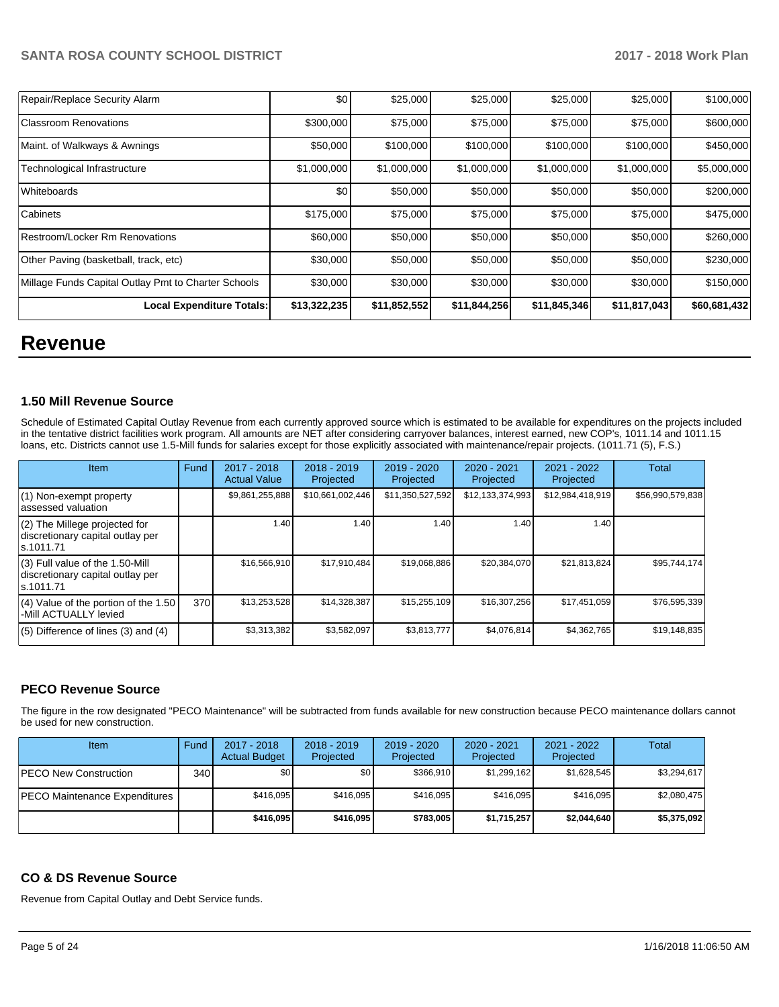| Local Expenditure Totals:                           | \$13,322,235 | \$11,852,552 | \$11,844,256 | \$11,845,346 | \$11,817,043 | \$60,681,432 |
|-----------------------------------------------------|--------------|--------------|--------------|--------------|--------------|--------------|
| Millage Funds Capital Outlay Pmt to Charter Schools | \$30,000     | \$30,000     | \$30,000     | \$30,000     | \$30,000     | \$150,000    |
| Other Paving (basketball, track, etc)               | \$30,000     | \$50,000     | \$50,000     | \$50,000     | \$50,000     | \$230,000    |
| Restroom/Locker Rm Renovations                      | \$60,000     | \$50,000     | \$50,000     | \$50,000     | \$50,000     | \$260,000    |
| Cabinets                                            | \$175,000    | \$75,000     | \$75,000     | \$75,000     | \$75,000     | \$475,000    |
| Whiteboards                                         | \$0          | \$50,000     | \$50,000     | \$50,000     | \$50,000     | \$200,000    |
| Technological Infrastructure                        | \$1,000,000  | \$1,000,000  | \$1,000,000  | \$1,000,000  | \$1,000,000  | \$5,000,000  |
| Maint. of Walkways & Awnings                        | \$50,000     | \$100,000    | \$100,000    | \$100,000    | \$100,000    | \$450,000    |
| <b>Classroom Renovations</b>                        | \$300,000    | \$75,000     | \$75,000     | \$75,000     | \$75,000     | \$600,000    |
| Repair/Replace Security Alarm                       | \$0          | \$25,000     | \$25,000     | \$25,000     | \$25,000     | \$100,000    |

# **Revenue**

### **1.50 Mill Revenue Source**

Schedule of Estimated Capital Outlay Revenue from each currently approved source which is estimated to be available for expenditures on the projects included in the tentative district facilities work program. All amounts are NET after considering carryover balances, interest earned, new COP's, 1011.14 and 1011.15 loans, etc. Districts cannot use 1.5-Mill funds for salaries except for those explicitly associated with maintenance/repair projects. (1011.71 (5), F.S.)

| Item                                                                              | Fund | $2017 - 2018$<br><b>Actual Value</b> | $2018 - 2019$<br>Projected | $2019 - 2020$<br>Projected | $2020 - 2021$<br>Projected | $2021 - 2022$<br>Projected | Total            |
|-----------------------------------------------------------------------------------|------|--------------------------------------|----------------------------|----------------------------|----------------------------|----------------------------|------------------|
| $(1)$ Non-exempt property<br>lassessed valuation                                  |      | \$9,861,255,888                      | \$10,661,002,446           | \$11,350,527,592           | \$12,133,374,993           | \$12,984,418,919           | \$56,990,579,838 |
| $(2)$ The Millege projected for<br>discretionary capital outlay per<br>ls.1011.71 |      | 1.40                                 | 1.40                       | 1.40                       | 1.40                       | 1.40                       |                  |
| (3) Full value of the 1.50-Mill<br>discretionary capital outlay per<br>s.1011.71  |      | \$16,566,910                         | \$17.910.484               | \$19,068,886               | \$20.384.070               | \$21,813,824               | \$95,744,174     |
| (4) Value of the portion of the 1.50<br>-Mill ACTUALLY levied                     | 370  | \$13,253,528                         | \$14,328,387               | \$15,255,109               | \$16,307,256               | \$17,451,059               | \$76,595,339     |
| $(5)$ Difference of lines $(3)$ and $(4)$                                         |      | \$3,313,382                          | \$3,582,097                | \$3,813,777                | \$4,076,814                | \$4,362,765                | \$19,148,835     |

### **PECO Revenue Source**

The figure in the row designated "PECO Maintenance" will be subtracted from funds available for new construction because PECO maintenance dollars cannot be used for new construction.

| Item                                 | Fund | 2017 - 2018<br><b>Actual Budget</b> | $2018 - 2019$<br>Projected | $2019 - 2020$<br>Projected | 2020 - 2021<br>Projected | 2021 - 2022<br>Projected | <b>Total</b> |
|--------------------------------------|------|-------------------------------------|----------------------------|----------------------------|--------------------------|--------------------------|--------------|
| <b>IPECO New Construction</b>        | 340  | \$0                                 | \$0                        | \$366.910                  | \$1,299,162              | \$1,628,545              | \$3.294.617  |
| <b>PECO Maintenance Expenditures</b> |      | \$416.095                           | \$416.095                  | \$416.095                  | \$416.095                | \$416.095                | \$2.080.475  |
|                                      |      | \$416.095                           | \$416.095                  | \$783,005                  | \$1,715,257              | \$2,044,640              | \$5,375,092  |

### **CO & DS Revenue Source**

Revenue from Capital Outlay and Debt Service funds.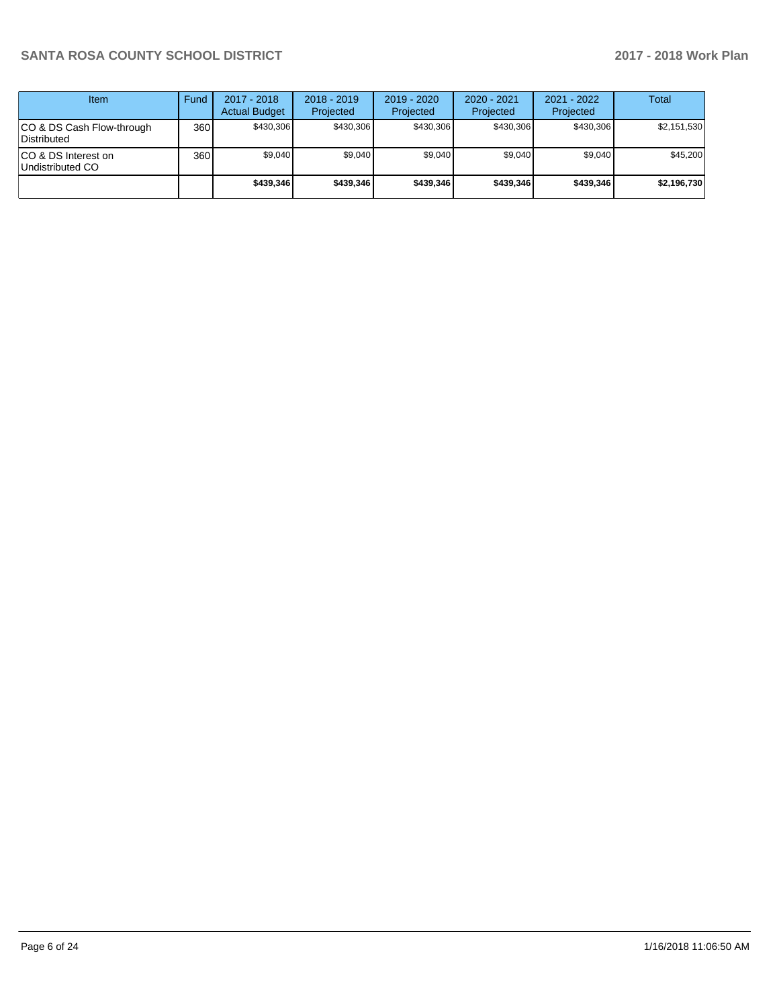| Item                                      | Fund             | $2017 - 2018$<br><b>Actual Budget</b> | $2018 - 2019$<br>Projected | $2019 - 2020$<br>Projected | $2020 - 2021$<br>Projected | 2021 - 2022<br>Projected | <b>Total</b> |
|-------------------------------------------|------------------|---------------------------------------|----------------------------|----------------------------|----------------------------|--------------------------|--------------|
| ICO & DS Cash Flow-through<br>Distributed | 360 <sup>1</sup> | \$430.306                             | \$430.306                  | \$430.306                  | \$430.306                  | \$430.306                | \$2,151,530  |
| ICO & DS Interest on<br>Undistributed CO  | 360              | \$9,040                               | \$9,040                    | \$9,040                    | \$9,040                    | \$9,040                  | \$45,200     |
|                                           |                  | \$439,346                             | \$439.346                  | \$439,346                  | \$439,346                  | \$439,346                | \$2,196,730  |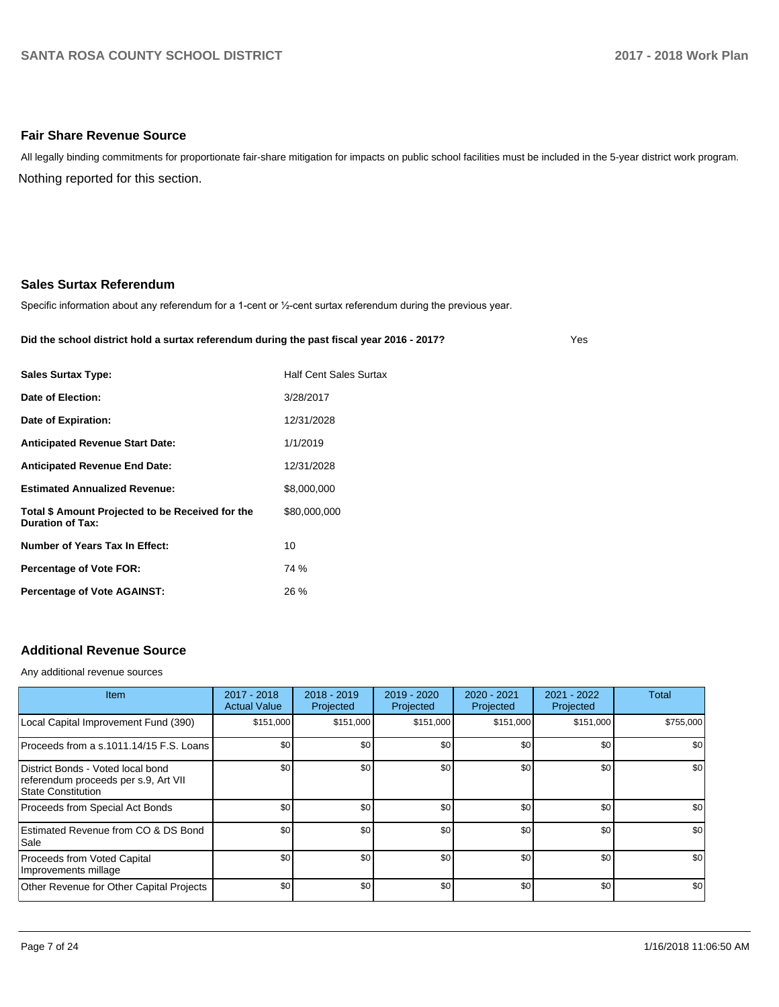### **Fair Share Revenue Source**

Nothing reported for this section. All legally binding commitments for proportionate fair-share mitigation for impacts on public school facilities must be included in the 5-year district work program.

### **Sales Surtax Referendum**

Specific information about any referendum for a 1-cent or 1/2-cent surtax referendum during the previous year.

#### **Did the school district hold a surtax referendum during the past fiscal year 2016 - 2017?**

Yes

| <b>Half Cent Sales Surtax</b> |
|-------------------------------|
| 3/28/2017                     |
| 12/31/2028                    |
| 1/1/2019                      |
| 12/31/2028                    |
| \$8,000,000                   |
| \$80,000,000                  |
| 10                            |
| 74 %                          |
| 26 %                          |
|                               |

### **Additional Revenue Source**

Any additional revenue sources

| Item                                                                                                   | $2017 - 2018$<br><b>Actual Value</b> | $2018 - 2019$<br>Projected | $2019 - 2020$<br>Projected | $2020 - 2021$<br>Projected | 2021 - 2022<br>Projected | <b>Total</b> |
|--------------------------------------------------------------------------------------------------------|--------------------------------------|----------------------------|----------------------------|----------------------------|--------------------------|--------------|
| Local Capital Improvement Fund (390)                                                                   | \$151,000                            | \$151,000                  | \$151,000                  | \$151,000                  | \$151,000                | \$755,000    |
| Proceeds from a s.1011.14/15 F.S. Loans                                                                | \$0                                  | \$0                        | \$0                        | \$0                        | \$0                      | \$0          |
| District Bonds - Voted local bond<br>referendum proceeds per s.9, Art VII<br><b>State Constitution</b> | \$0                                  | \$0                        | \$0                        | \$0                        | \$0                      | \$0          |
| Proceeds from Special Act Bonds                                                                        | \$0                                  | \$0                        | \$0                        | \$0                        | \$0                      | \$0          |
| Estimated Revenue from CO & DS Bond<br>Sale                                                            | \$0                                  | \$0                        | \$0                        | \$0                        | \$0                      | \$0          |
| Proceeds from Voted Capital<br>Improvements millage                                                    | \$0                                  | \$0                        | \$0                        | \$0                        | \$0                      | \$0          |
| Other Revenue for Other Capital Projects                                                               | \$0                                  | \$0                        | \$0                        | \$0                        | \$0                      | \$0          |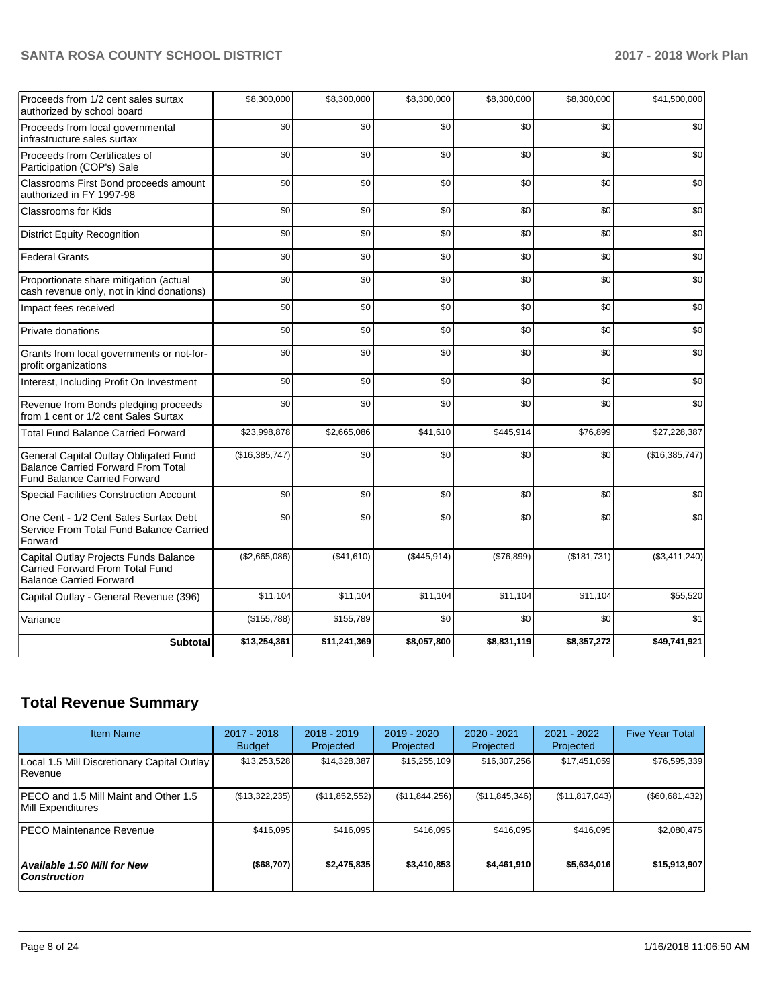| Proceeds from 1/2 cent sales surtax<br>authorized by school board                                                         | \$8,300,000    | \$8,300,000  | \$8,300,000 | \$8,300,000 | \$8,300,000 | \$41,500,000   |
|---------------------------------------------------------------------------------------------------------------------------|----------------|--------------|-------------|-------------|-------------|----------------|
| Proceeds from local governmental<br>infrastructure sales surtax                                                           | \$0            | \$0          | \$0         | \$0         | \$0         | \$0            |
| Proceeds from Certificates of<br>Participation (COP's) Sale                                                               | \$0            | \$0          | \$0         | \$0         | \$0         | \$0            |
| Classrooms First Bond proceeds amount<br>authorized in FY 1997-98                                                         | \$0            | \$0          | \$0         | \$0         | \$0         | \$0            |
| Classrooms for Kids                                                                                                       | \$0            | \$0          | \$0         | \$0         | \$0         | \$0            |
| <b>District Equity Recognition</b>                                                                                        | \$0            | \$0          | \$0         | \$0         | \$0         | \$0            |
| <b>Federal Grants</b>                                                                                                     | \$0            | \$0          | \$0         | \$0         | \$0         | \$0            |
| Proportionate share mitigation (actual<br>cash revenue only, not in kind donations)                                       | \$0            | \$0          | \$0         | \$0         | \$0         | \$0            |
| Impact fees received                                                                                                      | \$0            | \$0          | \$0         | \$0         | \$0         | \$0            |
| Private donations                                                                                                         | \$0            | \$0          | \$0         | \$0         | \$0         | \$0            |
| Grants from local governments or not-for-<br>profit organizations                                                         | \$0            | \$0          | \$0         | \$0         | \$0         | \$0            |
| Interest, Including Profit On Investment                                                                                  | \$0            | \$0          | \$0         | \$0         | \$0         | \$0            |
| Revenue from Bonds pledging proceeds<br>from 1 cent or 1/2 cent Sales Surtax                                              | \$0            | \$0          | \$0         | \$0         | \$0         | \$0            |
| <b>Total Fund Balance Carried Forward</b>                                                                                 | \$23,998,878   | \$2,665,086  | \$41,610    | \$445,914   | \$76,899    | \$27,228,387   |
| General Capital Outlay Obligated Fund<br><b>Balance Carried Forward From Total</b><br><b>Fund Balance Carried Forward</b> | (\$16,385,747) | \$0          | \$0         | \$0         | \$0         | (\$16,385,747) |
| Special Facilities Construction Account                                                                                   | \$0            | \$0          | \$0         | \$0         | \$0         | \$0            |
| One Cent - 1/2 Cent Sales Surtax Debt<br>Service From Total Fund Balance Carried<br>Forward                               | \$0            | \$0          | \$0         | \$0         | \$0         | \$0            |
| Capital Outlay Projects Funds Balance<br>Carried Forward From Total Fund<br><b>Balance Carried Forward</b>                | (\$2,665,086)  | (\$41,610)   | (\$445,914) | (\$76,899)  | (\$181,731) | (\$3,411,240)  |
| Capital Outlay - General Revenue (396)                                                                                    | \$11,104       | \$11,104     | \$11,104    | \$11.104    | \$11,104    | \$55,520       |
| Variance                                                                                                                  | (\$155,788)    | \$155,789    | \$0         | \$0         | \$0         | \$1            |
| <b>Subtotal</b>                                                                                                           | \$13,254,361   | \$11,241,369 | \$8,057,800 | \$8,831,119 | \$8,357,272 | \$49,741,921   |

# **Total Revenue Summary**

| <b>Item Name</b>                                           | $2017 - 2018$<br><b>Budget</b> | $2018 - 2019$<br>Projected | $2019 - 2020$<br>Projected | $2020 - 2021$<br>Projected | 2021 - 2022<br>Projected | <b>Five Year Total</b> |
|------------------------------------------------------------|--------------------------------|----------------------------|----------------------------|----------------------------|--------------------------|------------------------|
| Local 1.5 Mill Discretionary Capital Outlay<br>l Revenue   | \$13,253,528                   | \$14,328,387               | \$15,255,109               | \$16,307,256               | \$17,451,059             | \$76,595,339           |
| PECO and 1.5 Mill Maint and Other 1.5<br>Mill Expenditures | (\$13,322,235)                 | (\$11,852,552)             | (\$11,844,256)             | (S11, 845, 346)            | (\$11, 817, 043)         | (\$60,681,432)         |
| <b>PECO Maintenance Revenue</b>                            | \$416,095                      | \$416,095                  | \$416.095                  | \$416,095                  | \$416,095                | \$2,080,475            |
| <b>Available 1.50 Mill for New</b><br>  Construction       | (\$68,707)                     | \$2,475,835                | \$3.410.853                | \$4,461,910                | \$5,634,016              | \$15,913,907           |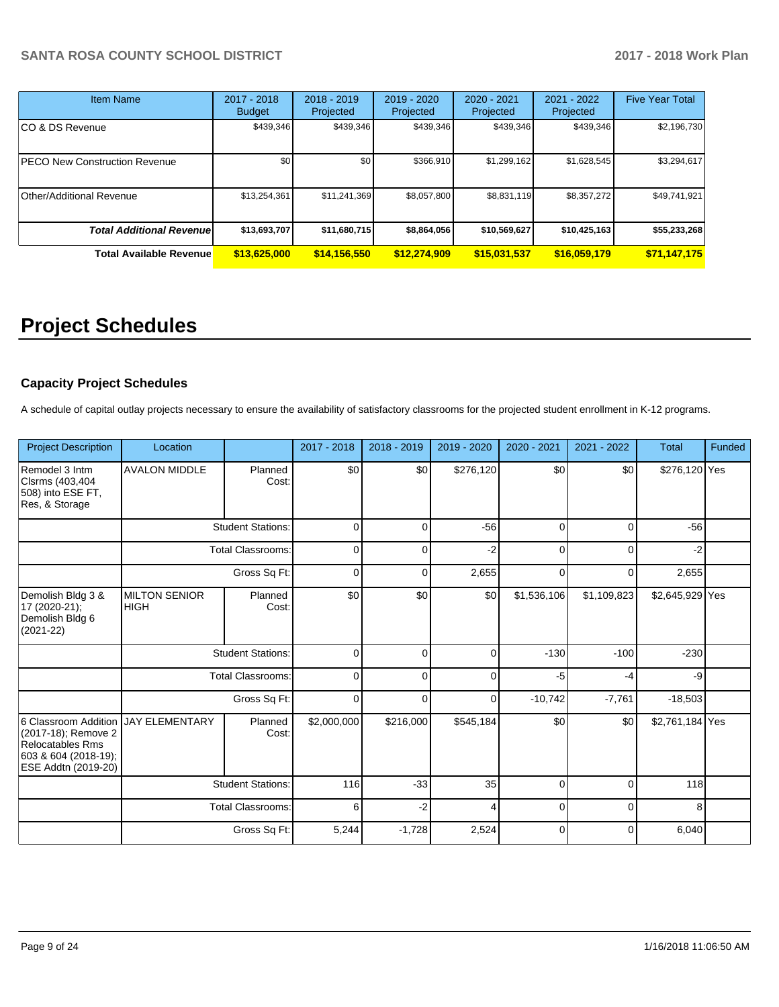| Item Name                        | $2017 - 2018$<br><b>Budget</b> | 2018 - 2019<br>Projected | 2019 - 2020<br>Projected | $2020 - 2021$<br>Projected | $2021 - 2022$<br>Projected | <b>Five Year Total</b> |
|----------------------------------|--------------------------------|--------------------------|--------------------------|----------------------------|----------------------------|------------------------|
| CO & DS Revenue                  | \$439,346                      | \$439,346                | \$439,346                | \$439,346                  | \$439,346                  | \$2,196,730            |
| PECO New Construction Revenue    | \$0                            | \$0                      | \$366.910                | \$1,299,162                | \$1,628,545                | \$3,294,617            |
| Other/Additional Revenue         | \$13,254,361                   | \$11,241,369             | \$8,057,800              | \$8,831,119                | \$8,357,272                | \$49,741,921           |
| <b>Total Additional Revenuel</b> | \$13,693,707                   | \$11,680,715             | \$8,864,056              | \$10,569,627               | \$10,425,163               | \$55,233,268           |
| <b>Total Available Revenue</b>   | \$13,625,000                   | \$14,156,550             | \$12,274,909             | \$15,031,537               | \$16,059,179               | \$71,147,175           |

# **Project Schedules**

### **Capacity Project Schedules**

A schedule of capital outlay projects necessary to ensure the availability of satisfactory classrooms for the projected student enrollment in K-12 programs.

| <b>Project Description</b>                                                                                            | Location                            |                          | 2017 - 2018 | 2018 - 2019 | 2019 - 2020 | 2020 - 2021 | 2021 - 2022 | <b>Total</b>    | Funded |
|-----------------------------------------------------------------------------------------------------------------------|-------------------------------------|--------------------------|-------------|-------------|-------------|-------------|-------------|-----------------|--------|
| Remodel 3 Intm<br>Clsrms (403,404<br>508) into ESE FT,<br>Res, & Storage                                              | <b>AVALON MIDDLE</b>                | Planned<br>Cost:         | \$0         | \$0         | \$276,120   | \$0         | \$0         | \$276,120 Yes   |        |
|                                                                                                                       |                                     | <b>Student Stations:</b> | $\mathbf 0$ | $\Omega$    | $-56$       | $\Omega$    | $\Omega$    | $-56$           |        |
| <b>Total Classrooms:</b>                                                                                              |                                     | 0                        | 0           | $-2$        | 0           | 0           | $-2$        |                 |        |
|                                                                                                                       |                                     | Gross Sq Ft:             | 0           | 0           | 2,655       | 0           | 0           | 2,655           |        |
| Demolish Bldg 3 &<br>17 (2020-21);<br>Demolish Bldg 6<br>$(2021 - 22)$                                                | <b>MILTON SENIOR</b><br><b>HIGH</b> | Planned<br>Cost:         | \$0         | \$0         | \$0         | \$1,536,106 | \$1,109,823 | \$2,645,929 Yes |        |
|                                                                                                                       |                                     | <b>Student Stations:</b> | $\mathbf 0$ | 0           | 0           | $-130$      | $-100$      | $-230$          |        |
|                                                                                                                       |                                     | <b>Total Classrooms:</b> | 0           | 0           | 0           | $-5$        | $-4$        | -9              |        |
|                                                                                                                       |                                     | Gross Sq Ft:             | 0           | 0           | 0           | $-10,742$   | $-7,761$    | $-18,503$       |        |
| 6 Classroom Addition<br>(2017-18); Remove 2<br><b>Relocatables Rms</b><br>603 & 604 (2018-19);<br>ESE Addtn (2019-20) | <b>JAY ELEMENTARY</b>               | Planned<br>Cost:         | \$2,000,000 | \$216,000   | \$545,184   | \$0         | \$0         | \$2,761,184 Yes |        |
|                                                                                                                       |                                     | <b>Student Stations:</b> | 116         | $-33$       | 35          | 0           | $\mathbf 0$ | 118             |        |
|                                                                                                                       |                                     | <b>Total Classrooms:</b> | 6           | $-2$        | 4           | $\mathbf 0$ | $\mathbf 0$ | 8               |        |
|                                                                                                                       |                                     | Gross Sq Ft:             | 5,244       | $-1,728$    | 2,524       | $\mathbf 0$ | $\mathbf 0$ | 6,040           |        |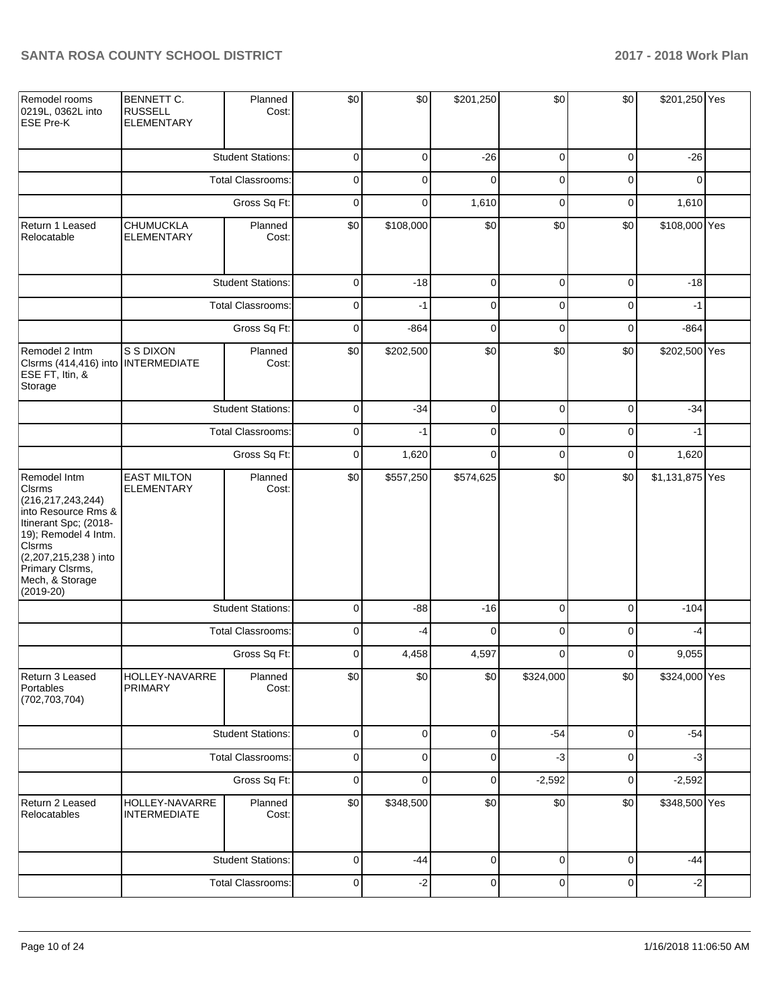| Remodel rooms<br>0219L, 0362L into<br><b>ESE Pre-K</b>                                                                                                                                                               | BENNETT C.<br><b>RUSSELL</b><br><b>ELEMENTARY</b> | Planned<br>Cost:         | \$0         | \$0       | \$201,250   | \$0            | \$0         | \$201,250 Yes   |  |
|----------------------------------------------------------------------------------------------------------------------------------------------------------------------------------------------------------------------|---------------------------------------------------|--------------------------|-------------|-----------|-------------|----------------|-------------|-----------------|--|
|                                                                                                                                                                                                                      |                                                   | <b>Student Stations:</b> | 0           | 0         | $-26$       | 0              | $\mathbf 0$ | $-26$           |  |
|                                                                                                                                                                                                                      |                                                   | <b>Total Classrooms:</b> | 0           | 0         | $\mathbf 0$ | 0              | $\mathbf 0$ | $\Omega$        |  |
|                                                                                                                                                                                                                      |                                                   | Gross Sq Ft:             | 0           | 0         | 1,610       | $\mathbf 0$    | $\mathbf 0$ | 1,610           |  |
| Return 1 Leased<br>Relocatable                                                                                                                                                                                       | <b>CHUMUCKLA</b><br><b>ELEMENTARY</b>             | Planned<br>Cost:         | \$0         | \$108,000 | \$0         | \$0            | \$0         | \$108,000 Yes   |  |
|                                                                                                                                                                                                                      |                                                   | <b>Student Stations:</b> | $\mathbf 0$ | $-18$     | $\pmb{0}$   | $\mathbf 0$    | $\pmb{0}$   | $-18$           |  |
|                                                                                                                                                                                                                      |                                                   | <b>Total Classrooms:</b> | $\mathbf 0$ | $-1$      | $\pmb{0}$   | 0              | 0           | $-1$            |  |
|                                                                                                                                                                                                                      |                                                   | Gross Sq Ft:             | $\mathbf 0$ | $-864$    | 0           | 0              | 0           | $-864$          |  |
| Remodel 2 Intm<br>Clsrms (414,416) into<br>ESE FT, Itin, &<br>Storage                                                                                                                                                | S S DIXON<br><b>INTERMEDIATE</b>                  | Planned<br>Cost:         | \$0         | \$202,500 | \$0         | \$0            | \$0         | \$202,500 Yes   |  |
|                                                                                                                                                                                                                      |                                                   | <b>Student Stations:</b> | 0           | $-34$     | $\mathbf 0$ | 0              | $\mathbf 0$ | $-34$           |  |
|                                                                                                                                                                                                                      |                                                   | <b>Total Classrooms:</b> | 0           | $-1$      | $\mathbf 0$ | 0              | $\mathbf 0$ | $-1$            |  |
|                                                                                                                                                                                                                      | Gross Sq Ft:                                      |                          | 0           | 1,620     | $\mathbf 0$ | $\mathbf 0$    | $\mathbf 0$ | 1,620           |  |
| Remodel Intm<br><b>Clsrms</b><br>(216, 217, 243, 244)<br>into Resource Rms &<br>Itinerant Spc; (2018-<br>19); Remodel 4 Intm.<br>Clsrms<br>(2,207,215,238) into<br>Primary Clsrms,<br>Mech, & Storage<br>$(2019-20)$ | <b>EAST MILTON</b><br><b>ELEMENTARY</b>           | Planned<br>Cost:         | \$0         | \$557,250 | \$574,625   | \$0            | \$0         | \$1,131,875 Yes |  |
|                                                                                                                                                                                                                      |                                                   | <b>Student Stations:</b> | $\mathbf 0$ | $-88$     | $-16$       | $\mathbf 0$    | 0           | $-104$          |  |
|                                                                                                                                                                                                                      |                                                   | <b>Total Classrooms:</b> | $\mathbf 0$ | -4        | $\mathbf 0$ | $\mathbf 0$    | 0           | $-4$            |  |
|                                                                                                                                                                                                                      |                                                   | Gross Sq Ft:             | 0           | 4,458     | 4,597       | $\mathbf 0$    | $\pmb{0}$   | 9,055           |  |
| Return 3 Leased<br>Portables<br>(702, 703, 704)                                                                                                                                                                      | HOLLEY-NAVARRE<br><b>PRIMARY</b>                  | Planned<br>Cost:         | \$0         | \$0       | \$0         | \$324,000      | \$0         | \$324,000 Yes   |  |
|                                                                                                                                                                                                                      |                                                   | <b>Student Stations:</b> | 0           | 0         | 0           | $-54$          | $\mathbf 0$ | $-54$           |  |
|                                                                                                                                                                                                                      |                                                   | Total Classrooms:        | 0           | 0         | 0           | $-3$           | $\mathbf 0$ | $-3$            |  |
|                                                                                                                                                                                                                      |                                                   | Gross Sq Ft:             | 0           | 0         | 0           | $-2,592$       | $\mathbf 0$ | $-2,592$        |  |
| Return 2 Leased<br>Relocatables                                                                                                                                                                                      | HOLLEY-NAVARRE<br><b>INTERMEDIATE</b>             | Planned<br>Cost:         | \$0         | \$348,500 | \$0         | \$0            | \$0         | \$348,500 Yes   |  |
|                                                                                                                                                                                                                      |                                                   | <b>Student Stations:</b> | 0           | $-44$     | $\mathbf 0$ | $\mathbf 0$    | $\mathbf 0$ | $-44$           |  |
|                                                                                                                                                                                                                      |                                                   | Total Classrooms:        | $\pmb{0}$   | $-2$      | $\mathbf 0$ | $\overline{0}$ | $\mathbf 0$ | $-2$            |  |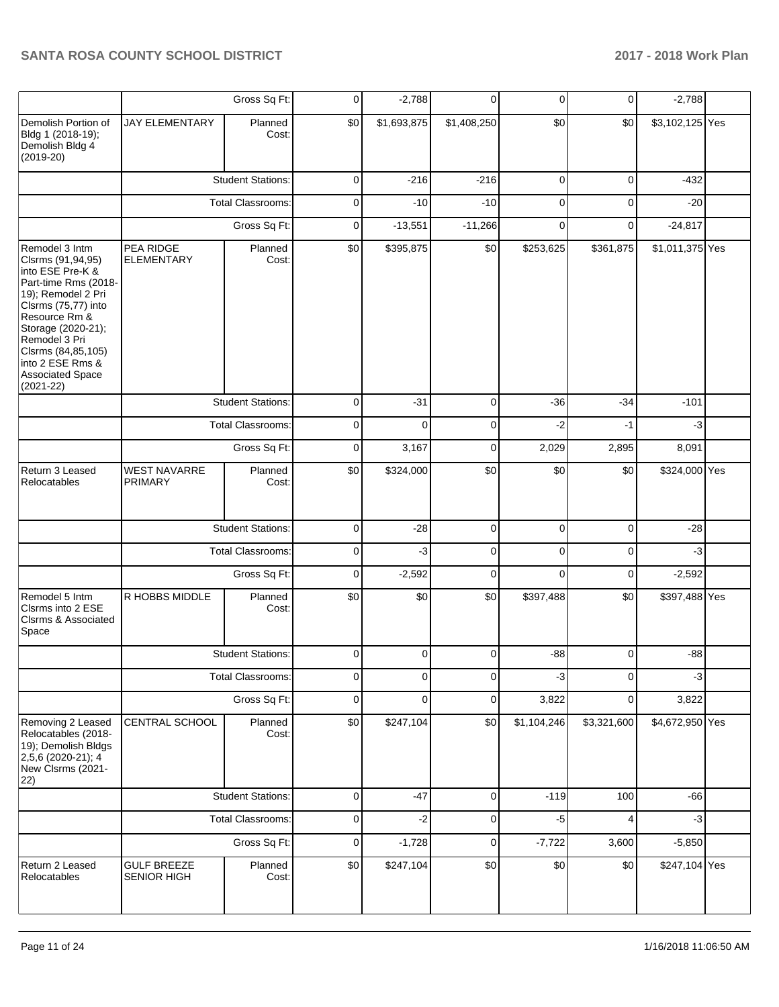|                                                                                                                                                                                                                                                                            |                                                                                                             | Gross Sq Ft:             | 0           | $-2,788$    | 0           | $\mathbf 0$  | $\overline{0}$ | $-2,788$        |  |
|----------------------------------------------------------------------------------------------------------------------------------------------------------------------------------------------------------------------------------------------------------------------------|-------------------------------------------------------------------------------------------------------------|--------------------------|-------------|-------------|-------------|--------------|----------------|-----------------|--|
| Demolish Portion of<br>Bldg 1 (2018-19);<br>Demolish Bldg 4<br>$(2019-20)$                                                                                                                                                                                                 | <b>JAY ELEMENTARY</b>                                                                                       | Planned<br>Cost:         | \$0         | \$1,693,875 | \$1,408,250 | \$0          | \$0            | \$3,102,125 Yes |  |
|                                                                                                                                                                                                                                                                            | PEA RIDGE<br><b>ELEMENTARY</b><br><b>WEST NAVARRE</b><br><b>PRIMARY</b><br>R HOBBS MIDDLE<br>CENTRAL SCHOOL | <b>Student Stations:</b> | 0           | $-216$      | $-216$      | $\mathbf{0}$ | $\mathbf 0$    | $-432$          |  |
|                                                                                                                                                                                                                                                                            |                                                                                                             | <b>Total Classrooms:</b> | 0           | $-10$       | $-10$       | 0            | $\mathbf 0$    | $-20$           |  |
|                                                                                                                                                                                                                                                                            |                                                                                                             | Gross Sq Ft:             | 0           | $-13,551$   | $-11,266$   | 0            | $\mathbf 0$    | $-24,817$       |  |
| Remodel 3 Intm<br>Clsrms (91,94,95)<br>into ESE Pre-K &<br>Part-time Rms (2018-<br>19); Remodel 2 Pri<br>Clsrms (75,77) into<br>Resource Rm &<br>Storage (2020-21);<br>Remodel 3 Pri<br>Clsrms (84,85,105)<br>into 2 ESE Rms &<br><b>Associated Space</b><br>$(2021 - 22)$ |                                                                                                             | Planned<br>Cost:         | \$0         | \$395,875   | \$0         | \$253,625    | \$361,875      | \$1,011,375 Yes |  |
|                                                                                                                                                                                                                                                                            |                                                                                                             | <b>Student Stations:</b> | $\mathbf 0$ | $-31$       | $\mathbf 0$ | $-36$        | $-34$          | $-101$          |  |
|                                                                                                                                                                                                                                                                            |                                                                                                             | <b>Total Classrooms:</b> | 0           | $\Omega$    | $\mathbf 0$ | $-2$         | $-1$           | $-3$            |  |
|                                                                                                                                                                                                                                                                            |                                                                                                             | Gross Sq Ft:             | 0           | 3,167       | $\mathbf 0$ | 2,029        | 2,895          | 8,091           |  |
| Return 3 Leased<br>Relocatables                                                                                                                                                                                                                                            |                                                                                                             | Planned<br>Cost:         | \$0         | \$324,000   | \$0         | \$0          | \$0            | \$324,000 Yes   |  |
|                                                                                                                                                                                                                                                                            | <b>Student Stations:</b><br><b>Total Classrooms:</b>                                                        |                          | 0           | $-28$       | $\mathbf 0$ | $\mathbf 0$  | $\mathbf 0$    | $-28$           |  |
|                                                                                                                                                                                                                                                                            |                                                                                                             |                          | 0           | $-3$        | 0           | 0            | $\mathbf 0$    | $-3$            |  |
|                                                                                                                                                                                                                                                                            |                                                                                                             | Gross Sq Ft:             | $\mathbf 0$ | $-2,592$    | $\mathbf 0$ | $\mathbf 0$  | 0              | $-2,592$        |  |
| Remodel 5 Intm<br>Clsrms into 2 ESE<br>Clsrms & Associated<br>Space                                                                                                                                                                                                        |                                                                                                             | Planned<br>Cost:         | \$0         | \$0         | \$0         | \$397,488    | \$0            | \$397,488 Yes   |  |
|                                                                                                                                                                                                                                                                            |                                                                                                             | <b>Student Stations:</b> | 0           | 0           | 0           | $-88$        | 0              | $-88$           |  |
|                                                                                                                                                                                                                                                                            |                                                                                                             | Total Classrooms:        | 0           | 0           | 0           | $-3$         | 0              | $-3$            |  |
|                                                                                                                                                                                                                                                                            |                                                                                                             | Gross Sq Ft:             | $\pmb{0}$   | 0           | $\pmb{0}$   | 3,822        | $\mathbf 0$    | 3,822           |  |
| Removing 2 Leased<br>Relocatables (2018-<br>19); Demolish Bldgs<br>2,5,6 (2020-21); 4<br>New Clsrms (2021-<br>22)                                                                                                                                                          |                                                                                                             | Planned<br>Cost:         | \$0         | \$247,104   | \$0         | \$1,104,246  | \$3,321,600    | \$4,672,950 Yes |  |
|                                                                                                                                                                                                                                                                            |                                                                                                             | <b>Student Stations:</b> | $\mathbf 0$ | $-47$       | $\pmb{0}$   | $-119$       | 100            | $-66$           |  |
|                                                                                                                                                                                                                                                                            |                                                                                                             | <b>Total Classrooms:</b> | $\mathsf 0$ | $-2$        | $\mathbf 0$ | $-5$         | $\overline{4}$ | $-3$            |  |
|                                                                                                                                                                                                                                                                            |                                                                                                             | Gross Sq Ft:             | $\pmb{0}$   | $-1,728$    | $\pmb{0}$   | $-7,722$     | 3,600          | $-5,850$        |  |
| Return 2 Leased<br>Relocatables                                                                                                                                                                                                                                            | <b>GULF BREEZE</b><br><b>SENIOR HIGH</b>                                                                    | Planned<br>Cost:         | \$0         | \$247,104   | \$0         | \$0          | \$0            | \$247,104 Yes   |  |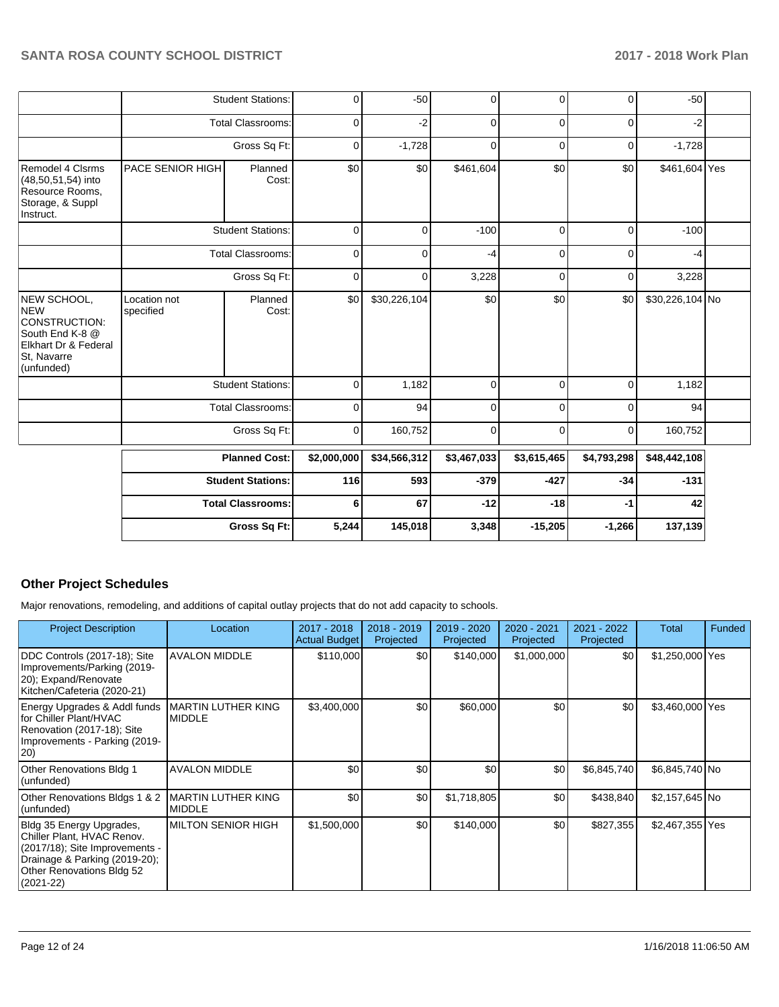|                                                                                                             |                           | <b>Student Stations:</b> | 0           | $-50$        | 0           | $\overline{0}$ | $\Omega$    | $-50$           |  |
|-------------------------------------------------------------------------------------------------------------|---------------------------|--------------------------|-------------|--------------|-------------|----------------|-------------|-----------------|--|
|                                                                                                             |                           | <b>Total Classrooms:</b> | $\mathbf 0$ | $-2$         | 0           | 0              | $\Omega$    | $-2$            |  |
|                                                                                                             |                           | Gross Sq Ft:             | 0           | $-1,728$     | 0           | 0              | 0           | $-1,728$        |  |
| Remodel 4 Clsrms<br>(48,50,51,54) into<br>Resource Rooms,<br>Storage, & Suppl<br>Instruct.                  | <b>PACE SENIOR HIGH</b>   | Planned<br>Cost:         | \$0         | \$0          | \$461,604   | \$0            | \$0         | \$461,604 Yes   |  |
|                                                                                                             |                           | <b>Student Stations:</b> | $\mathbf 0$ | 0            | $-100$      | $\Omega$       | $\Omega$    | $-100$          |  |
|                                                                                                             |                           | <b>Total Classrooms:</b> | 0           | 0            | -4          | 0              | $\Omega$    | -4              |  |
|                                                                                                             |                           | Gross Sq Ft:             | $\mathbf 0$ | 0            | 3,228       | 0              | 0           | 3,228           |  |
| NEW SCHOOL,<br>NEW<br>CONSTRUCTION:<br>South End K-8 @<br>Elkhart Dr & Federal<br>St, Navarre<br>(unfunded) | Location not<br>specified | Planned<br>Cost:         | \$0         | \$30,226,104 | \$0         | \$0            | \$0         | \$30,226,104 No |  |
|                                                                                                             |                           | <b>Student Stations:</b> | $\mathbf 0$ | 1,182        | 0           | $\Omega$       | $\Omega$    | 1,182           |  |
|                                                                                                             |                           | <b>Total Classrooms:</b> | $\mathbf 0$ | 94           | 0           | 0              | 0           | 94              |  |
|                                                                                                             |                           | Gross Sq Ft:             | 0           | 160,752      | $\mathbf 0$ | $\Omega$       | 0           | 160,752         |  |
|                                                                                                             |                           | <b>Planned Cost:</b>     | \$2,000,000 | \$34,566,312 | \$3,467,033 | \$3,615,465    | \$4,793,298 | \$48,442,108    |  |
|                                                                                                             |                           | <b>Student Stations:</b> | 116         | 593          | $-379$      | $-427$         | $-34$       | $-131$          |  |
|                                                                                                             |                           | <b>Total Classrooms:</b> | 6           | 67           | $-12$       | $-18$          | -1          | 42              |  |
|                                                                                                             |                           | Gross Sq Ft:             | 5,244       | 145,018      | 3,348       | $-15,205$      | $-1,266$    | 137,139         |  |

### **Other Project Schedules**

Major renovations, remodeling, and additions of capital outlay projects that do not add capacity to schools.

| <b>Project Description</b>                                                                                                                                              | Location                                   | 2017 - 2018<br><b>Actual Budget</b> | 2018 - 2019<br>Projected | 2019 - 2020<br>Projected | 2020 - 2021<br>Projected | 2021 - 2022<br>Projected | Total           | Funded |
|-------------------------------------------------------------------------------------------------------------------------------------------------------------------------|--------------------------------------------|-------------------------------------|--------------------------|--------------------------|--------------------------|--------------------------|-----------------|--------|
| DDC Controls (2017-18); Site<br>Improvements/Parking (2019-<br>20); Expand/Renovate<br>Kitchen/Cafeteria (2020-21)                                                      | <b>AVALON MIDDLE</b>                       | \$110,000                           | \$0                      | \$140,000                | \$1,000,000              | \$0                      | \$1,250,000 Yes |        |
| Energy Upgrades & Addl funds<br>for Chiller Plant/HVAC<br>Renovation (2017-18); Site<br>Improvements - Parking (2019-<br>$ 20\rangle$                                   | <b>MARTIN LUTHER KING</b><br><b>MIDDLE</b> | \$3,400,000                         | \$0                      | \$60,000                 | \$0                      | \$0                      | \$3,460,000 Yes |        |
| Other Renovations Bldg 1<br>(unfunded)                                                                                                                                  | <b>AVALON MIDDLE</b>                       | \$0                                 | \$0                      | \$0                      | \$0                      | \$6,845,740              | \$6,845,740 No  |        |
| Other Renovations Bldgs 1 & 2<br>(unfunded)                                                                                                                             | <b>MARTIN LUTHER KING</b><br><b>MIDDLE</b> | \$0                                 | \$0                      | \$1,718,805              | \$0                      | \$438,840                | \$2,157,645 No  |        |
| Bldg 35 Energy Upgrades,<br>Chiller Plant, HVAC Renov.<br>(2017/18); Site Improvements -<br>Drainage & Parking (2019-20);<br>Other Renovations Bldg 52<br>$(2021 - 22)$ | IMILTON SENIOR HIGH                        | \$1,500,000                         | \$0                      | \$140,000                | \$0                      | \$827,355                | \$2,467,355 Yes |        |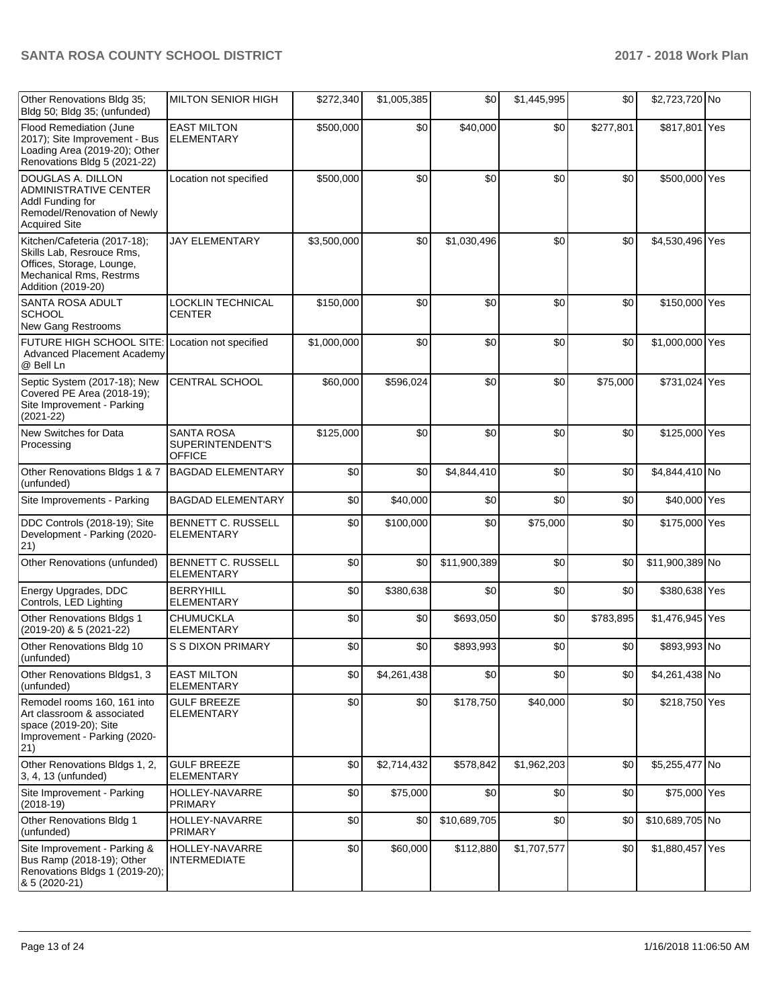| Other Renovations Bldg 35;<br>Bldg 50; Bldg 35; (unfunded)                                                                                     | <b>MILTON SENIOR HIGH</b>                              | \$272,340   | \$1,005,385 | \$0          | \$1,445,995 | \$0       | \$2,723,720 No  |  |
|------------------------------------------------------------------------------------------------------------------------------------------------|--------------------------------------------------------|-------------|-------------|--------------|-------------|-----------|-----------------|--|
| <b>Flood Remediation (June</b><br>2017); Site Improvement - Bus<br>Loading Area (2019-20); Other<br>Renovations Bldg 5 (2021-22)               | <b>EAST MILTON</b><br><b>ELEMENTARY</b>                | \$500,000   | \$0         | \$40,000     | \$0         | \$277,801 | \$817,801 Yes   |  |
| DOUGLAS A. DILLON<br>ADMINISTRATIVE CENTER<br>Addl Funding for<br>Remodel/Renovation of Newly<br><b>Acquired Site</b>                          | Location not specified                                 | \$500,000   | \$0         | \$0          | \$0         | \$0       | \$500,000 Yes   |  |
| Kitchen/Cafeteria (2017-18);<br>Skills Lab, Resrouce Rms,<br>Offices, Storage, Lounge,<br><b>Mechanical Rms, Restrms</b><br>Addition (2019-20) | <b>JAY ELEMENTARY</b>                                  | \$3,500,000 | \$0         | \$1,030,496  | \$0         | \$0       | \$4,530,496 Yes |  |
| <b>SANTA ROSA ADULT</b><br><b>SCHOOL</b><br>New Gang Restrooms                                                                                 | LOCKLIN TECHNICAL<br>CENTER                            | \$150,000   | \$0         | \$0          | \$0         | \$0       | \$150,000 Yes   |  |
| FUTURE HIGH SCHOOL SITE: Location not specified<br><b>Advanced Placement Academy</b><br>@ Bell Ln                                              |                                                        | \$1,000,000 | \$0         | \$0          | \$0         | \$0       | \$1,000,000 Yes |  |
| Septic System (2017-18); New<br>Covered PE Area (2018-19);<br>Site Improvement - Parking<br>$(2021 - 22)$                                      | CENTRAL SCHOOL                                         | \$60,000    | \$596,024   | \$0          | \$0         | \$75,000  | \$731,024 Yes   |  |
| New Switches for Data<br>Processing                                                                                                            | <b>SANTA ROSA</b><br>SUPERINTENDENT'S<br><b>OFFICE</b> | \$125,000   | \$0         | \$0          | \$0         | \$0       | \$125,000 Yes   |  |
| Other Renovations Bldgs 1 & 7<br>(unfunded)                                                                                                    | <b>BAGDAD ELEMENTARY</b>                               | \$0         | \$0         | \$4,844,410  | \$0         | \$0       | \$4,844,410 No  |  |
| Site Improvements - Parking                                                                                                                    | <b>BAGDAD ELEMENTARY</b>                               | \$0         | \$40,000    | \$0          | \$0         | \$0       | \$40,000 Yes    |  |
| DDC Controls (2018-19); Site<br>Development - Parking (2020-<br>21)                                                                            | <b>BENNETT C. RUSSELL</b><br><b>ELEMENTARY</b>         | \$0         | \$100,000   | \$0          | \$75,000    | \$0       | \$175,000 Yes   |  |
| Other Renovations (unfunded)                                                                                                                   | <b>BENNETT C. RUSSELL</b><br><b>ELEMENTARY</b>         | \$0         | \$0         | \$11,900,389 | \$0         | \$0       | \$11,900,389 No |  |
| Energy Upgrades, DDC<br>Controls, LED Lighting                                                                                                 | <b>BERRYHILL</b><br><b>ELEMENTARY</b>                  | \$0         | \$380,638   | \$0          | \$0         | \$0       | \$380,638 Yes   |  |
| Other Renovations Bldgs 1<br>(2019-20) & 5 (2021-22)                                                                                           | <b>CHUMUCKLA</b><br><b>ELEMENTARY</b>                  | \$0         | \$0         | \$693,050    | \$0         | \$783,895 | \$1,476,945 Yes |  |
| Other Renovations Bldg 10<br>(unfunded)                                                                                                        | <b>S S DIXON PRIMARY</b>                               | \$0         | \$0         | \$893,993    | \$0         | \$0       | \$893,993 No    |  |
| Other Renovations Bldgs1, 3<br>(unfunded)                                                                                                      | <b>EAST MILTON</b><br><b>ELEMENTARY</b>                | \$0         | \$4,261,438 | \$0          | \$0         | \$0       | \$4,261,438 No  |  |
| Remodel rooms 160, 161 into<br>Art classroom & associated<br>space (2019-20); Site<br>Improvement - Parking (2020-<br>$ 21\rangle$             | <b>GULF BREEZE</b><br><b>ELEMENTARY</b>                | \$0         | \$0         | \$178,750    | \$40,000    | \$0       | \$218,750 Yes   |  |
| Other Renovations Bldgs 1, 2,<br>3, 4, 13 (unfunded)                                                                                           | <b>GULF BREEZE</b><br><b>ELEMENTARY</b>                | \$0         | \$2,714,432 | \$578,842    | \$1,962,203 | \$0       | \$5,255,477 No  |  |
| Site Improvement - Parking<br>$(2018-19)$                                                                                                      | HOLLEY-NAVARRE<br><b>PRIMARY</b>                       | \$0         | \$75,000    | \$0          | \$0         | \$0       | \$75,000 Yes    |  |
| Other Renovations Bldg 1<br>(unfunded)                                                                                                         | HOLLEY-NAVARRE<br><b>PRIMARY</b>                       | \$0         | \$0         | \$10,689,705 | \$0         | \$0       | \$10,689,705 No |  |
| Site Improvement - Parking &<br>Bus Ramp (2018-19); Other<br>Renovations Bldgs 1 (2019-20);<br>8 5 (2020-21)                                   | HOLLEY-NAVARRE<br><b>INTERMEDIATE</b>                  | \$0         | \$60,000    | \$112,880    | \$1,707,577 | \$0       | \$1,880,457 Yes |  |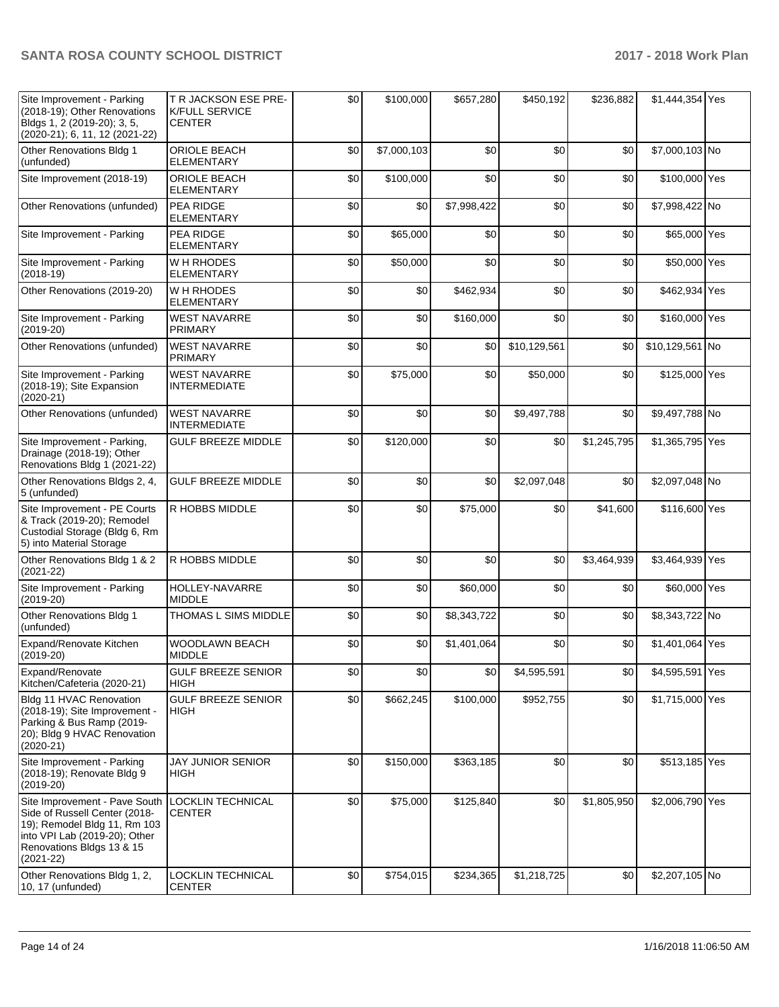| Site Improvement - Parking<br>(2018-19); Other Renovations<br>Bldgs 1, 2 (2019-20); 3, 5,<br>(2020-21); 6, 11, 12 (2021-22)                                                   | T R JACKSON ESE PRE-<br><b>K/FULL SERVICE</b><br><b>CENTER</b> | \$0 | \$100,000   | \$657,280   | \$450,192    | \$236,882   | \$1,444,354 Yes |  |
|-------------------------------------------------------------------------------------------------------------------------------------------------------------------------------|----------------------------------------------------------------|-----|-------------|-------------|--------------|-------------|-----------------|--|
| Other Renovations Bldg 1<br>(unfunded)                                                                                                                                        | ORIOLE BEACH<br><b>ELEMENTARY</b>                              | \$0 | \$7,000,103 | \$0         | \$0          | \$0         | \$7,000,103 No  |  |
| Site Improvement (2018-19)                                                                                                                                                    | ORIOLE BEACH<br>ELEMENTARY                                     | \$0 | \$100,000   | \$0         | \$0          | \$0         | \$100,000 Yes   |  |
| Other Renovations (unfunded)                                                                                                                                                  | <b>PEA RIDGE</b><br><b>ELEMENTARY</b>                          | \$0 | \$0         | \$7,998,422 | \$0          | \$0         | \$7,998,422 No  |  |
| Site Improvement - Parking                                                                                                                                                    | <b>PEA RIDGE</b><br><b>ELEMENTARY</b>                          | \$0 | \$65,000    | \$0         | \$0          | \$0         | \$65,000 Yes    |  |
| Site Improvement - Parking<br>$(2018-19)$                                                                                                                                     | W H RHODES<br><b>ELEMENTARY</b>                                | \$0 | \$50,000    | \$0         | \$0          | \$0         | \$50,000 Yes    |  |
| Other Renovations (2019-20)                                                                                                                                                   | W H RHODES<br><b>ELEMENTARY</b>                                | \$0 | \$0         | \$462,934   | \$0          | \$0         | \$462,934 Yes   |  |
| Site Improvement - Parking<br>$(2019-20)$                                                                                                                                     | <b>WEST NAVARRE</b><br><b>PRIMARY</b>                          | \$0 | \$0         | \$160,000   | \$0          | \$0         | \$160,000 Yes   |  |
| Other Renovations (unfunded)                                                                                                                                                  | <b>WEST NAVARRE</b><br><b>PRIMARY</b>                          | \$0 | \$0         | \$0         | \$10,129,561 | \$0         | \$10,129,561 No |  |
| Site Improvement - Parking<br>(2018-19); Site Expansion<br>$(2020-21)$                                                                                                        | <b>WEST NAVARRE</b><br><b>INTERMEDIATE</b>                     | \$0 | \$75,000    | \$0         | \$50,000     | \$0         | \$125,000 Yes   |  |
| Other Renovations (unfunded)                                                                                                                                                  | <b>WEST NAVARRE</b><br><b>INTERMEDIATE</b>                     | \$0 | \$0         | \$0         | \$9,497,788  | \$0         | \$9,497,788 No  |  |
| Site Improvement - Parking,<br>Drainage (2018-19); Other<br>Renovations Bldg 1 (2021-22)                                                                                      | <b>GULF BREEZE MIDDLE</b>                                      | \$0 | \$120,000   | \$0         | \$0          | \$1,245,795 | \$1,365,795 Yes |  |
| Other Renovations Bldgs 2, 4,<br>5 (unfunded)                                                                                                                                 | <b>GULF BREEZE MIDDLE</b>                                      | \$0 | \$0         | \$0         | \$2,097,048  | \$0         | \$2,097,048 No  |  |
| Site Improvement - PE Courts<br>& Track (2019-20); Remodel<br>Custodial Storage (Bldg 6, Rm<br>5) into Material Storage                                                       | R HOBBS MIDDLE                                                 | \$0 | \$0         | \$75,000    | \$0          | \$41,600    | \$116,600 Yes   |  |
| Other Renovations Bldg 1 & 2<br>$(2021 - 22)$                                                                                                                                 | R HOBBS MIDDLE                                                 | \$0 | \$0         | \$0         | \$0          | \$3,464,939 | \$3,464,939 Yes |  |
| Site Improvement - Parking<br>$(2019-20)$                                                                                                                                     | HOLLEY-NAVARRE<br><b>MIDDLE</b>                                | \$0 | \$0         | \$60,000    | \$0          | \$0         | \$60,000 Yes    |  |
| Other Renovations Bldg 1<br>(unfunded)                                                                                                                                        | THOMAS L SIMS MIDDLE                                           | \$0 | \$0         | \$8,343,722 | \$0          | \$0         | \$8,343,722 No  |  |
| Expand/Renovate Kitchen<br>$(2019-20)$                                                                                                                                        | <b>WOODLAWN BEACH</b><br><b>MIDDLE</b>                         | \$0 | \$0         | \$1,401,064 | \$0          | \$0         | \$1,401,064 Yes |  |
| Expand/Renovate<br>Kitchen/Cafeteria (2020-21)                                                                                                                                | <b>GULF BREEZE SENIOR</b><br>HIGH                              | \$0 | \$0         | \$0         | \$4,595,591  | \$0         | \$4,595,591 Yes |  |
| Bldg 11 HVAC Renovation<br>(2018-19); Site Improvement -<br>Parking & Bus Ramp (2019-<br>20); Bldg 9 HVAC Renovation<br>$(2020-21)$                                           | <b>GULF BREEZE SENIOR</b><br>HIGH                              | \$0 | \$662,245   | \$100,000   | \$952,755    | \$0         | \$1,715,000 Yes |  |
| Site Improvement - Parking<br>(2018-19); Renovate Bldg 9<br>$(2019-20)$                                                                                                       | JAY JUNIOR SENIOR<br><b>HIGH</b>                               | \$0 | \$150,000   | \$363,185   | \$0          | \$0         | \$513,185 Yes   |  |
| Site Improvement - Pave South<br>Side of Russell Center (2018-<br>19); Remodel Bldg 11, Rm 103<br>into VPI Lab (2019-20); Other<br>Renovations Bldgs 13 & 15<br>$(2021 - 22)$ | <b>LOCKLIN TECHNICAL</b><br><b>CENTER</b>                      | \$0 | \$75,000    | \$125,840   | \$0          | \$1,805,950 | \$2,006,790 Yes |  |
| Other Renovations Bldg 1, 2,<br>$(10, 17 \text{ (unfundred)}$                                                                                                                 | LOCKLIN TECHNICAL<br><b>CENTER</b>                             | \$0 | \$754,015   | \$234,365   | \$1,218,725  | \$0         | \$2,207,105 No  |  |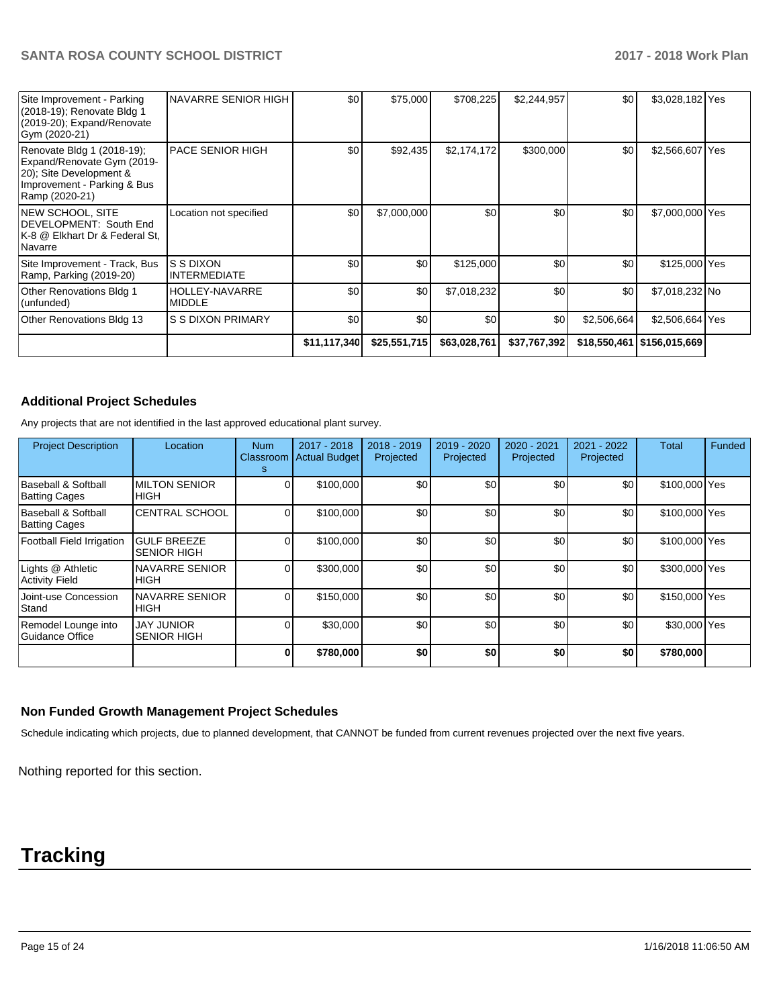| Site Improvement - Parking<br>(2018-19); Renovate Bldg 1<br>(2019-20); Expand/Renovate<br>Gym (2020-21)                              | <b>INAVARRE SENIOR HIGH</b>            | \$0          | \$75,000     | \$708,225    | \$2,244,957  | \$0 <sub>1</sub> | \$3,028,182 Yes              |  |
|--------------------------------------------------------------------------------------------------------------------------------------|----------------------------------------|--------------|--------------|--------------|--------------|------------------|------------------------------|--|
| Renovate Bldg 1 (2018-19);<br>Expand/Renovate Gym (2019-<br>20); Site Development &<br>Improvement - Parking & Bus<br>Ramp (2020-21) | <b>PACE SENIOR HIGH</b>                | \$0          | \$92,435     | \$2,174,172  | \$300,000    | \$0 <sub>1</sub> | \$2,566,607 Yes              |  |
| <b>NEW SCHOOL, SITE</b><br>DEVELOPMENT: South End<br>K-8 @ Elkhart Dr & Federal St,<br>Navarre                                       | Location not specified                 | \$0          | \$7,000,000  | \$0          | \$0          | \$0              | \$7,000,000 Yes              |  |
| Site Improvement - Track, Bus<br>Ramp, Parking (2019-20)                                                                             | IS S DIXON<br><b>INTERMEDIATE</b>      | \$0          | \$0          | \$125,000    | \$0          | \$0 <sub>1</sub> | \$125,000 Yes                |  |
| <b>Other Renovations Bldg 1</b><br>(unfunded)                                                                                        | <b>HOLLEY-NAVARRE</b><br><b>MIDDLE</b> | \$0          | \$0          | \$7,018,232  | \$0          | \$0              | \$7,018,232 No               |  |
| Other Renovations Bldg 13                                                                                                            | <b>S S DIXON PRIMARY</b>               | \$0          | \$0          | \$0          | \$0          | \$2,506,664      | \$2,506,664 Yes              |  |
|                                                                                                                                      |                                        | \$11,117,340 | \$25,551,715 | \$63,028,761 | \$37,767,392 |                  | \$18,550,461   \$156,015,669 |  |

### **Additional Project Schedules**

Any projects that are not identified in the last approved educational plant survey.

| <b>Project Description</b>                  | Location                                 | <b>Num</b><br>Classroom<br>s | 2017 - 2018<br><b>Actual Budget</b> | 2018 - 2019<br>Projected | 2019 - 2020<br>Projected | 2020 - 2021<br>Projected | 2021 - 2022<br>Projected | <b>Total</b>  | Funded |
|---------------------------------------------|------------------------------------------|------------------------------|-------------------------------------|--------------------------|--------------------------|--------------------------|--------------------------|---------------|--------|
| Baseball & Softball<br><b>Batting Cages</b> | <b>MILTON SENIOR</b><br><b>HIGH</b>      |                              | \$100,000                           | \$0                      | \$0                      | \$0                      | \$0                      | \$100,000 Yes |        |
| Baseball & Softball<br><b>Batting Cages</b> | <b>CENTRAL SCHOOL</b>                    |                              | \$100,000                           | \$0                      | \$0                      | \$0                      | \$0                      | \$100,000 Yes |        |
| Football Field Irrigation                   | <b>GULF BREEZE</b><br><b>SENIOR HIGH</b> |                              | \$100,000                           | \$0                      | \$0                      | \$0                      | \$0                      | \$100,000 Yes |        |
| Lights @ Athletic<br>Activity Field         | <b>NAVARRE SENIOR</b><br><b>HIGH</b>     |                              | \$300,000                           | \$0                      | \$0                      | \$0                      | \$0                      | \$300,000 Yes |        |
| Joint-use Concession<br>Stand               | <b>NAVARRE SENIOR</b><br><b>HIGH</b>     |                              | \$150,000                           | \$0                      | \$0                      | \$0                      | \$0                      | \$150,000 Yes |        |
| Remodel Lounge into<br>Guidance Office      | <b>JAY JUNIOR</b><br><b>SENIOR HIGH</b>  |                              | \$30,000                            | \$0                      | \$0                      | \$0                      | \$0                      | \$30,000 Yes  |        |
|                                             |                                          |                              | \$780,000                           | \$0                      | \$0                      | \$0                      | \$0                      | \$780,000     |        |

### **Non Funded Growth Management Project Schedules**

Schedule indicating which projects, due to planned development, that CANNOT be funded from current revenues projected over the next five years.

Nothing reported for this section.

# **Tracking**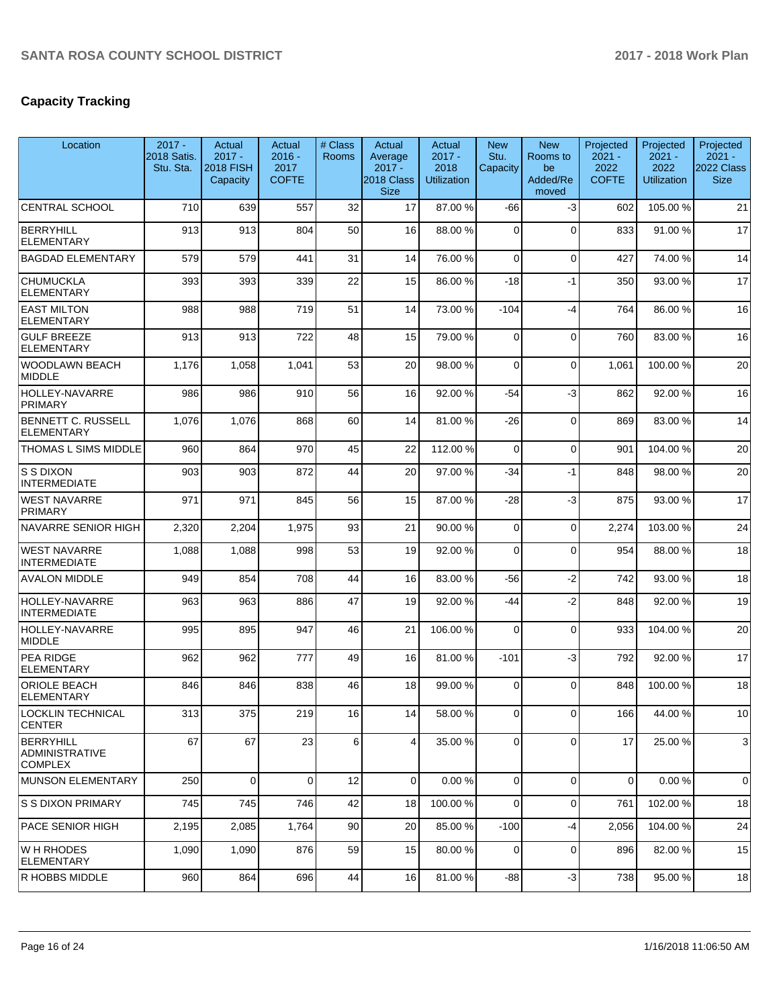# **Capacity Tracking**

| Location                                             | $2017 -$<br>2018 Satis.<br>Stu. Sta. | Actual<br>$2017 -$<br><b>2018 FISH</b><br>Capacity | Actual<br>$2016 -$<br>2017<br><b>COFTE</b> | # Class<br><b>Rooms</b> | Actual<br>Average<br>$2017 -$<br>2018 Class | Actual<br>$2017 -$<br>2018<br><b>Utilization</b> | <b>New</b><br>Stu.<br>Capacity | <b>New</b><br>Rooms to<br>be<br>Added/Re | Projected<br>$2021 -$<br>2022<br><b>COFTE</b> | Projected<br>$2021 -$<br>2022<br><b>Utilization</b> | Projected<br>$2021 -$<br>2022 Class<br><b>Size</b> |
|------------------------------------------------------|--------------------------------------|----------------------------------------------------|--------------------------------------------|-------------------------|---------------------------------------------|--------------------------------------------------|--------------------------------|------------------------------------------|-----------------------------------------------|-----------------------------------------------------|----------------------------------------------------|
| <b>CENTRAL SCHOOL</b>                                | 710                                  | 639                                                | 557                                        | 32                      | <b>Size</b><br>17                           | 87.00 %                                          | -66                            | moved<br>-3                              | 602                                           | 105.00%                                             | 21                                                 |
| <b>BERRYHILL</b><br><b>ELEMENTARY</b>                | 913                                  | 913                                                | 804                                        | 50                      | 16                                          | 88.00 %                                          | $\Omega$                       | $\Omega$                                 | 833                                           | 91.00 %                                             | 17                                                 |
| <b>BAGDAD ELEMENTARY</b>                             | 579                                  | 579                                                | 441                                        | 31                      | 14                                          | 76.00 %                                          | 0                              | $\mathbf 0$                              | 427                                           | 74.00 %                                             | 14                                                 |
| <b>CHUMUCKLA</b><br>ELEMENTARY                       | 393                                  | 393                                                | 339                                        | 22                      | 15                                          | 86.00 %                                          | $-18$                          | $-1$                                     | 350                                           | 93.00 %                                             | 17                                                 |
| <b>EAST MILTON</b><br><b>ELEMENTARY</b>              | 988                                  | 988                                                | 719                                        | 51                      | 14                                          | 73.00 %                                          | $-104$                         | $-4$                                     | 764                                           | 86.00 %                                             | 16                                                 |
| <b>GULF BREEZE</b><br><b>ELEMENTARY</b>              | 913                                  | 913                                                | 722                                        | 48                      | 15                                          | 79.00 %                                          | 0                              | $\mathbf 0$                              | 760                                           | 83.00 %                                             | 16                                                 |
| WOODLAWN BEACH<br><b>MIDDLE</b>                      | 1,176                                | 1,058                                              | 1,041                                      | 53                      | 20                                          | 98.00 %                                          | $\Omega$                       | $\mathbf 0$                              | 1,061                                         | 100.00%                                             | 20                                                 |
| HOLLEY-NAVARRE<br><b>PRIMARY</b>                     | 986                                  | 986                                                | 910                                        | 56                      | 16                                          | 92.00 %                                          | -54                            | $-3$                                     | 862                                           | 92.00 %                                             | 16                                                 |
| <b>BENNETT C. RUSSELL</b><br><b>ELEMENTARY</b>       | 1,076                                | 1,076                                              | 868                                        | 60                      | 14                                          | 81.00%                                           | $-26$                          | $\mathbf 0$                              | 869                                           | 83.00 %                                             | 14                                                 |
| <b>THOMAS L SIMS MIDDLE</b>                          | 960                                  | 864                                                | 970                                        | 45                      | 22                                          | 112.00 %                                         | $\mathbf 0$                    | $\mathbf 0$                              | 901                                           | 104.00%                                             | 20                                                 |
| S S DIXON<br><b>INTERMEDIATE</b>                     | 903                                  | 903                                                | 872                                        | 44                      | 20                                          | 97.00 %                                          | $-34$                          | $-1$                                     | 848                                           | 98.00 %                                             | 20                                                 |
| <b>WEST NAVARRE</b><br><b>PRIMARY</b>                | 971                                  | 971                                                | 845                                        | 56                      | 15                                          | 87.00 %                                          | $-28$                          | $-3$                                     | 875                                           | 93.00 %                                             | 17                                                 |
| NAVARRE SENIOR HIGH                                  | 2,320                                | 2,204                                              | 1,975                                      | 93                      | 21                                          | 90.00 %                                          | 0                              | $\Omega$                                 | 2,274                                         | 103.00%                                             | 24                                                 |
| <b>WEST NAVARRE</b><br><b>INTERMEDIATE</b>           | 1,088                                | 1,088                                              | 998                                        | 53                      | 19                                          | 92.00 %                                          | $\Omega$                       | $\Omega$                                 | 954                                           | 88.00 %                                             | 18                                                 |
| <b>AVALON MIDDLE</b>                                 | 949                                  | 854                                                | 708                                        | 44                      | 16                                          | 83.00 %                                          | $-56$                          | $-2$                                     | 742                                           | 93.00 %                                             | 18                                                 |
| HOLLEY-NAVARRE<br><b>INTERMEDIATE</b>                | 963                                  | 963                                                | 886                                        | 47                      | 19                                          | 92.00 %                                          | -44                            | $-2$                                     | 848                                           | 92.00 %                                             | 19                                                 |
| <b>HOLLEY-NAVARRE</b><br>MIDDLE                      | 995                                  | 895                                                | 947                                        | 46                      | 21                                          | 106.00%                                          | $\Omega$                       | $\mathbf 0$                              | 933                                           | 104.00%                                             | 20                                                 |
| <b>PEA RIDGE</b><br><b>ELEMENTARY</b>                | 962                                  | 962                                                | 777                                        | 49                      | 16                                          | 81.00%                                           | $-101$                         | $-3$                                     | 792                                           | 92.00 %                                             | 17                                                 |
| <b>ORIOLE BEACH</b><br><b>ELEMENTARY</b>             | 846                                  | 846                                                | 838                                        | 46                      | 18                                          | 99.00 %                                          | $\Omega$                       | $\Omega$                                 | 848                                           | 100.00%                                             | 18                                                 |
| LOCKLIN TECHNICAL<br><b>CENTER</b>                   | 313                                  | 375                                                | 219                                        | 16                      | 14                                          | 58.00 %                                          | $\overline{0}$                 | $\overline{0}$                           | 166                                           | 44.00 %                                             | 10                                                 |
| BERRYHILL<br><b>ADMINISTRATIVE</b><br><b>COMPLEX</b> | 67                                   | 67                                                 | 23                                         | 6                       | 4                                           | 35.00 %                                          | 0                              | $\Omega$                                 | 17                                            | 25.00 %                                             | 3                                                  |
| MUNSON ELEMENTARY                                    | 250                                  | $\mathbf 0$                                        | $\Omega$                                   | 12                      | $\overline{0}$                              | 0.00%                                            | $\mathbf 0$                    | $\mathbf 0$                              | 0                                             | 0.00%                                               | 0                                                  |
| <b>S S DIXON PRIMARY</b>                             | 745                                  | 745                                                | 746                                        | 42                      | 18                                          | 100.00%                                          | $\mathbf 0$                    | $\mathbf 0$                              | 761                                           | 102.00%                                             | 18                                                 |
| PACE SENIOR HIGH                                     | 2,195                                | 2,085                                              | 1,764                                      | 90                      | 20                                          | 85.00 %                                          | $-100$                         | $-4$                                     | 2,056                                         | 104.00%                                             | 24                                                 |
| IW H RHODES<br><b>ELEMENTARY</b>                     | 1,090                                | 1,090                                              | 876                                        | 59                      | 15                                          | 80.00%                                           | 0                              | $\mathbf 0$                              | 896                                           | 82.00 %                                             | 15                                                 |
| R HOBBS MIDDLE                                       | 960                                  | 864                                                | 696                                        | 44                      | 16                                          | 81.00 %                                          | $-88$                          | $-3$                                     | 738                                           | 95.00 %                                             | 18                                                 |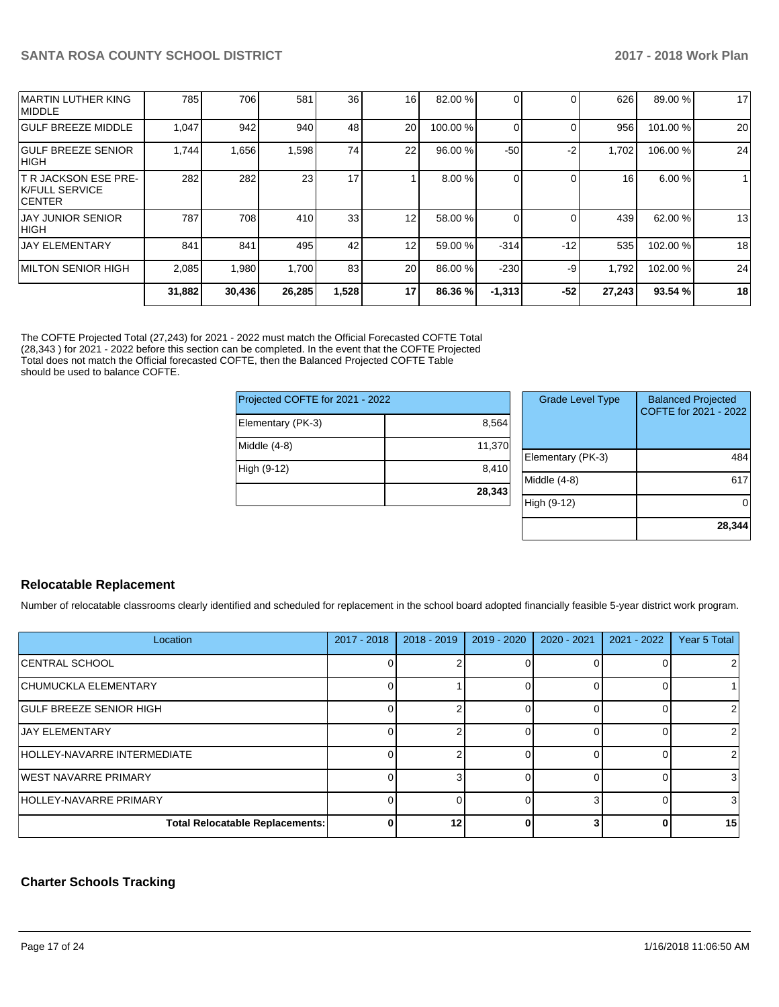| <b>ICENTER</b>           |        |        |        |                 |                 |         |          |       |        |         |    |
|--------------------------|--------|--------|--------|-----------------|-----------------|---------|----------|-------|--------|---------|----|
| <b>JAY JUNIOR SENIOR</b> | 787    | 708    | 410    | 33 <sup>1</sup> | 12 <sub>1</sub> | 58.00 % |          |       | 439    | 62.00 % | 13 |
|                          |        |        |        |                 |                 |         |          |       |        |         |    |
| HIGH                     |        |        |        |                 |                 |         |          |       |        |         |    |
| <b>JAY ELEMENTARY</b>    | 841    | 841    | 495    | 42              | 12              | 59.00 % | $-314$   | $-12$ | 535    | 102.00% | 18 |
|                          |        |        |        |                 |                 |         |          |       |        |         |    |
|                          |        |        |        |                 |                 |         |          |       |        |         |    |
| IMILTON SENIOR HIGH      | 2,085  | 1,980  | 1.700  | 83              | 20              | 86.00 % | $-230$   | -9    | 1,792  | 102.00% | 24 |
|                          |        |        |        |                 |                 |         |          |       |        |         |    |
|                          | 31,882 | 30,436 | 26,285 | 1,528           | 17              | 86.36 % | $-1,313$ | $-52$ | 27,243 | 93.54 % | 18 |
|                          |        |        |        |                 |                 |         |          |       |        |         |    |

The COFTE Projected Total (27,243) for 2021 - 2022 must match the Official Forecasted COFTE Total (28,343 ) for 2021 - 2022 before this section can be completed. In the event that the COFTE Projected Total does not match the Official forecasted COFTE, then the Balanced Projected COFTE Table should be used to balance COFTE.

| Projected COFTE for 2021 - 2022 |        |    |
|---------------------------------|--------|----|
| Elementary (PK-3)               | 8,564  |    |
| Middle (4-8)                    | 11,370 | Eŀ |
| High (9-12)                     | 8,410  | Mi |
|                                 | 28,343 |    |

| <b>Grade Level Type</b> | <b>Balanced Projected</b><br>COFTE for 2021 - 2022 |
|-------------------------|----------------------------------------------------|
| Elementary (PK-3)       | 484                                                |
| Middle (4-8)            | 617                                                |
| High (9-12)             |                                                    |
|                         | 28,344                                             |

### **Relocatable Replacement**

Number of relocatable classrooms clearly identified and scheduled for replacement in the school board adopted financially feasible 5-year district work program.

| Location                               | $2017 - 2018$ | $2018 - 2019$ | $2019 - 2020$ | 2020 - 2021 | 2021 - 2022 | Year 5 Total |
|----------------------------------------|---------------|---------------|---------------|-------------|-------------|--------------|
| <b>CENTRAL SCHOOL</b>                  |               |               |               |             |             |              |
| <b>CHUMUCKLA ELEMENTARY</b>            |               |               |               |             |             |              |
| <b>GULF BREEZE SENIOR HIGH</b>         |               |               |               |             |             |              |
| <b>JAY ELEMENTARY</b>                  |               |               |               |             |             |              |
| HOLLEY-NAVARRE INTERMEDIATE            |               |               |               |             |             | 2            |
| <b>IWEST NAVARRE PRIMARY</b>           |               |               |               |             |             | 3            |
| HOLLEY-NAVARRE PRIMARY                 |               |               |               |             |             | 31           |
| <b>Total Relocatable Replacements:</b> | U             | 12            |               |             |             | 15           |

### **Charter Schools Tracking**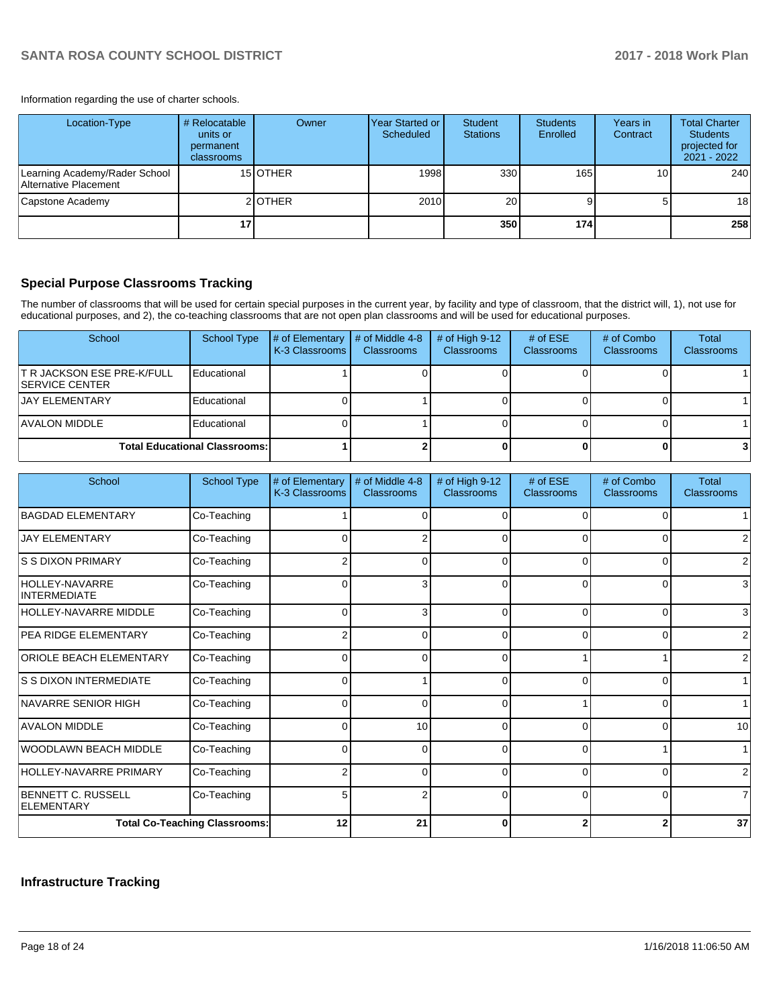Information regarding the use of charter schools.

| Location-Type                                          | # Relocatable<br>units or<br>permanent<br><b>classrooms</b> | Owner    | Year Started or<br>Scheduled | Student<br><b>Stations</b> | <b>Students</b><br>Enrolled | Years in<br>Contract | <b>Total Charter</b><br><b>Students</b><br>projected for<br>2021 - 2022 |
|--------------------------------------------------------|-------------------------------------------------------------|----------|------------------------------|----------------------------|-----------------------------|----------------------|-------------------------------------------------------------------------|
| Learning Academy/Rader School<br>Alternative Placement |                                                             | 15 OTHER | 1998                         | 330                        | 165                         | 10                   | 240                                                                     |
| Capstone Academy                                       |                                                             | 2 OTHER  | 2010                         | 20                         |                             |                      | 18 <sup>1</sup>                                                         |
|                                                        | 17                                                          |          |                              | 350                        | 174                         |                      | 258                                                                     |

### **Special Purpose Classrooms Tracking**

The number of classrooms that will be used for certain special purposes in the current year, by facility and type of classroom, that the district will, 1), not use for educational purposes, and 2), the co-teaching classrooms that are not open plan classrooms and will be used for educational purposes.

| School                                                      | School Type                          | # of Elementary<br>K-3 Classrooms | # of Middle 4-8<br><b>Classrooms</b> | # of High $9-12$<br><b>Classrooms</b> | # of $ESE$<br>Classrooms | # of Combo<br><b>Classrooms</b> | Total<br><b>Classrooms</b> |
|-------------------------------------------------------------|--------------------------------------|-----------------------------------|--------------------------------------|---------------------------------------|--------------------------|---------------------------------|----------------------------|
| <b>T R JACKSON ESE PRE-K/FULL</b><br><b>ISERVICE CENTER</b> | Educational                          |                                   |                                      |                                       |                          |                                 |                            |
| <b>JAY ELEMENTARY</b>                                       | Educational                          |                                   |                                      |                                       |                          |                                 |                            |
| IAVALON MIDDLE                                              | Educational                          |                                   |                                      |                                       |                          |                                 |                            |
|                                                             | <b>Total Educational Classrooms:</b> |                                   |                                      |                                       |                          |                                 |                            |

| School                                         | <b>School Type</b>                   | # of Elementary<br>K-3 Classrooms | # of Middle 4-8<br><b>Classrooms</b> | # of High 9-12<br>Classrooms | # of ESE<br><b>Classrooms</b> | # of Combo<br><b>Classrooms</b> | <b>Total</b><br><b>Classrooms</b> |
|------------------------------------------------|--------------------------------------|-----------------------------------|--------------------------------------|------------------------------|-------------------------------|---------------------------------|-----------------------------------|
| <b>BAGDAD ELEMENTARY</b>                       | Co-Teaching                          |                                   |                                      |                              | ∩                             |                                 |                                   |
| <b>JAY ELEMENTARY</b>                          | Co-Teaching                          | 0                                 | 2                                    | 0                            | $\Omega$                      | 0                               |                                   |
| IS S DIXON PRIMARY                             | Co-Teaching                          |                                   | <sup>0</sup>                         | $\Omega$                     | $\Omega$                      | 0                               | 2                                 |
| <b>HOLLEY-NAVARRE</b><br><b>INTERMEDIATE</b>   | Co-Teaching                          | 0                                 | 3                                    | 0                            | 0                             | $\Omega$                        | 3                                 |
| HOLLEY-NAVARRE MIDDLE                          | Co-Teaching                          | $\Omega$                          | 3                                    | $\Omega$                     | $\Omega$                      | $\Omega$                        | 3                                 |
| <b>PEA RIDGE ELEMENTARY</b>                    | Co-Teaching                          |                                   | 0                                    | 0                            | $\Omega$                      | 0                               | 2                                 |
| <b>ORIOLE BEACH ELEMENTARY</b>                 | Co-Teaching                          | O                                 | U                                    | O                            |                               |                                 | 2                                 |
| IS S DIXON INTERMEDIATE                        | Co-Teaching                          | 0                                 |                                      |                              | $\Omega$                      | 0                               |                                   |
| NAVARRE SENIOR HIGH                            | Co-Teaching                          | 0                                 | 0                                    | $\Omega$                     |                               | $\Omega$                        |                                   |
| <b>AVALON MIDDLE</b>                           | Co-Teaching                          | O                                 | 10                                   | $\Omega$                     | $\Omega$                      | $\Omega$                        | 10                                |
| <b>WOODLAWN BEACH MIDDLE</b>                   | Co-Teaching                          | 0                                 | 0                                    | 0                            | $\Omega$                      |                                 |                                   |
| <b>HOLLEY-NAVARRE PRIMARY</b>                  | Co-Teaching                          | 2                                 | $\Omega$                             | 0                            | $\Omega$                      | $\Omega$                        | 2                                 |
| <b>BENNETT C. RUSSELL</b><br><b>ELEMENTARY</b> | Co-Teaching                          | 5                                 | 2                                    | $\Omega$                     | $\Omega$                      | $\Omega$                        | 7                                 |
|                                                | <b>Total Co-Teaching Classrooms:</b> | 12                                | 21                                   | ŋ                            |                               | $\mathbf{2}$                    | 37                                |

## **Infrastructure Tracking**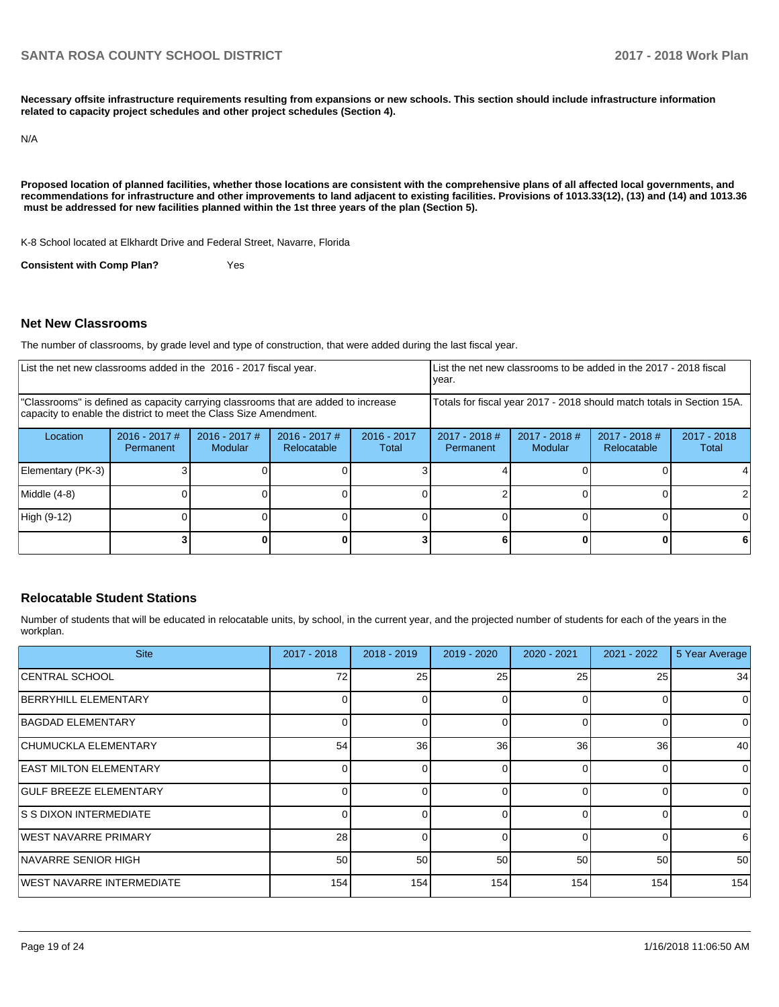**Necessary offsite infrastructure requirements resulting from expansions or new schools. This section should include infrastructure information related to capacity project schedules and other project schedules (Section 4).** 

N/A

**Proposed location of planned facilities, whether those locations are consistent with the comprehensive plans of all affected local governments, and recommendations for infrastructure and other improvements to land adjacent to existing facilities. Provisions of 1013.33(12), (13) and (14) and 1013.36** must be addressed for new facilities planned within the 1st three years of the plan (Section 5).

K-8 School located at Elkhardt Drive and Federal Street, Navarre, Florida

**Consistent with Comp Plan?** Yes

### **Net New Classrooms**

The number of classrooms, by grade level and type of construction, that were added during the last fiscal year.

| List the net new classrooms added in the 2016 - 2017 fiscal year.<br>year.                                                                              |                                                                        |                                   |                                |                        |                              |                                   | List the net new classrooms to be added in the 2017 - 2018 fiscal |                        |
|---------------------------------------------------------------------------------------------------------------------------------------------------------|------------------------------------------------------------------------|-----------------------------------|--------------------------------|------------------------|------------------------------|-----------------------------------|-------------------------------------------------------------------|------------------------|
| "Classrooms" is defined as capacity carrying classrooms that are added to increase<br>capacity to enable the district to meet the Class Size Amendment. | Totals for fiscal year 2017 - 2018 should match totals in Section 15A. |                                   |                                |                        |                              |                                   |                                                                   |                        |
| Location                                                                                                                                                | $2016 - 2017$ #<br>Permanent                                           | $2016 - 2017$ #<br><b>Modular</b> | $2016 - 2017$ #<br>Relocatable | $2016 - 2017$<br>Total | $2017 - 2018$ #<br>Permanent | $2017 - 2018$ #<br><b>Modular</b> | $2017 - 2018$ #<br><b>Relocatable</b>                             | $2017 - 2018$<br>Total |
| Elementary (PK-3)                                                                                                                                       |                                                                        |                                   |                                |                        |                              |                                   |                                                                   |                        |
| Middle (4-8)                                                                                                                                            |                                                                        |                                   |                                |                        |                              |                                   |                                                                   |                        |
| High (9-12)                                                                                                                                             |                                                                        |                                   |                                |                        |                              |                                   |                                                                   |                        |
|                                                                                                                                                         |                                                                        |                                   |                                |                        |                              |                                   |                                                                   |                        |

### **Relocatable Student Stations**

Number of students that will be educated in relocatable units, by school, in the current year, and the projected number of students for each of the years in the workplan.

| <b>Site</b>                      | $2017 - 2018$ | 2018 - 2019 | $2019 - 2020$ | $2020 - 2021$ | 2021 - 2022     | 5 Year Average |
|----------------------------------|---------------|-------------|---------------|---------------|-----------------|----------------|
| CENTRAL SCHOOL                   | 72            | 25          | 25            | 25            | 25              | 34             |
| BERRYHILL ELEMENTARY             |               |             | 0             | 0             | 0               | $\overline{0}$ |
| BAGDAD ELEMENTARY                |               |             | $\Omega$      | $\Omega$      | 0               | $\overline{0}$ |
| CHUMUCKLA ELEMENTARY             | 54            | 36          | 36            | 36            | 36 <sup>1</sup> | 40             |
| <b>EAST MILTON ELEMENTARY</b>    |               |             | $\Omega$      | O             | $\Omega$        | $\Omega$       |
| <b>GULF BREEZE ELEMENTARY</b>    |               |             | $\Omega$      |               | $\Omega$        | $\overline{0}$ |
| IS S DIXON INTERMEDIATE          |               |             | <sup>0</sup>  | $\Omega$      | 0               | $\overline{0}$ |
| IWEST NAVARRE PRIMARY            | 28            |             | $\Omega$      | $\Omega$      | $\Omega$        | $6 \,$         |
| INAVARRE SENIOR HIGH             | 50            | 50          | 50            | 50            | 50              | 50             |
| <b>WEST NAVARRE INTERMEDIATE</b> | 154           | 154         | 154           | 154           | 154             | 154            |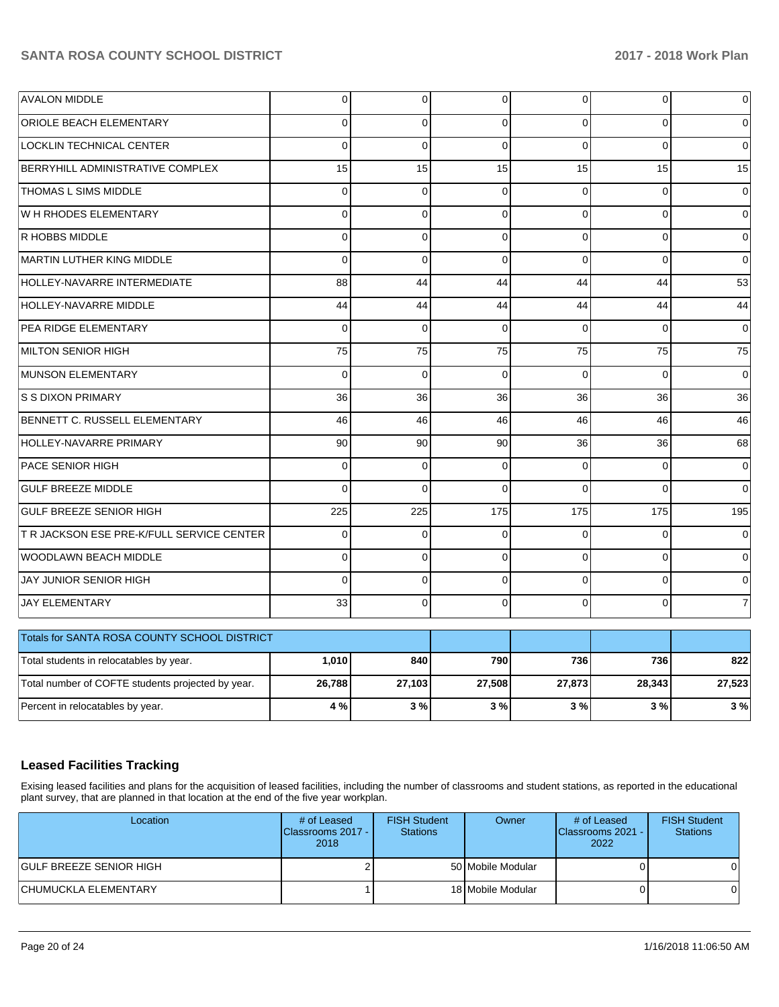| <b>AVALON MIDDLE</b>                              | $\mathbf 0$    | $\pmb{0}$    | 0            | $\overline{0}$ | 0            | 0              |
|---------------------------------------------------|----------------|--------------|--------------|----------------|--------------|----------------|
| ORIOLE BEACH ELEMENTARY                           | $\Omega$       | $\Omega$     | $\Omega$     | $\Omega$       | $\Omega$     | $\Omega$       |
| <b>LOCKLIN TECHNICAL CENTER</b>                   | $\overline{0}$ | $\mathbf{0}$ | $\Omega$     | $\Omega$       | $\Omega$     | 0              |
| BERRYHILL ADMINISTRATIVE COMPLEX                  | 15             | 15           | 15           | 15             | 15           | 15             |
| THOMAS L SIMS MIDDLE                              | $\mathbf 0$    | $\mathbf 0$  | $\mathbf 0$  | $\Omega$       | 0            | $\mathbf 0$    |
| W H RHODES ELEMENTARY                             | $\Omega$       | $\mathbf 0$  | $\mathbf 0$  | $\Omega$       | $\mathbf 0$  | 0              |
| R HOBBS MIDDLE                                    | 0              | $\mathbf 0$  | $\mathbf 0$  | $\Omega$       | $\mathbf 0$  | 0              |
| MARTIN LUTHER KING MIDDLE                         | $\Omega$       | $\mathbf 0$  | $\mathbf 0$  | $\Omega$       | 0            | $\mathbf 0$    |
| HOLLEY-NAVARRE INTERMEDIATE                       | 88             | 44           | 44           | 44             | 44           | 53             |
| <b>HOLLEY-NAVARRE MIDDLE</b>                      | 44             | 44           | 44           | 44             | 44           | 44             |
| PEA RIDGE ELEMENTARY                              | $\Omega$       | $\Omega$     | $\Omega$     | $\Omega$       | $\Omega$     | 0              |
| <b>MILTON SENIOR HIGH</b>                         | 75             | 75           | 75           | 75             | 75           | 75             |
| <b>MUNSON ELEMENTARY</b>                          | $\mathbf 0$    | $\mathbf 0$  | 0            | $\Omega$       | $\mathbf 0$  | $\mathbf 0$    |
| <b>S S DIXON PRIMARY</b>                          | 36             | 36           | 36           | 36             | 36           | 36             |
| BENNETT C. RUSSELL ELEMENTARY                     | 46             | 46           | 46           | 46             | 46           | 46             |
| HOLLEY-NAVARRE PRIMARY                            | 90             | 90           | 90           | 36             | 36           | 68             |
| PACE SENIOR HIGH                                  | $\Omega$       | $\Omega$     | $\Omega$     | $\Omega$       | $\Omega$     | $\Omega$       |
| <b>GULF BREEZE MIDDLE</b>                         | $\overline{0}$ | $\Omega$     | $\Omega$     | $\Omega$       | $\Omega$     | $\Omega$       |
| <b>GULF BREEZE SENIOR HIGH</b>                    | 225            | 225          | 175          | 175            | 175          | 195            |
| T R JACKSON ESE PRE-K/FULL SERVICE CENTER         | 0              | $\mathbf 0$  | $\Omega$     | $\Omega$       | $\Omega$     | $\Omega$       |
| WOODLAWN BEACH MIDDLE                             | $\Omega$       | $\mathbf 0$  | $\Omega$     | $\Omega$       | $\mathbf{0}$ | 0              |
| JAY JUNIOR SENIOR HIGH                            | $\overline{0}$ | $\Omega$     | $\mathbf{0}$ | $\Omega$       | $\Omega$     | 0              |
| <b>JAY ELEMENTARY</b>                             | 33             | $\mathbf 0$  | $\mathbf 0$  | $\Omega$       | $\mathbf 0$  | $\overline{7}$ |
| Totals for SANTA ROSA COUNTY SCHOOL DISTRICT      |                |              |              |                |              |                |
| Total students in relocatables by year.           | 1,010          | 840          | 790          | 736            | 736          | 822            |
| Total number of COFTE students projected by year. | 26,788         | 27,103       | 27,508       | 27,873         | 28,343       | 27,523         |
| Percent in relocatables by year.                  | 4 %            | 3%           | 3%           | 3%             | 3%           | 3%             |

### **Leased Facilities Tracking**

Exising leased facilities and plans for the acquisition of leased facilities, including the number of classrooms and student stations, as reported in the educational plant survey, that are planned in that location at the end of the five year workplan.

| Location                 | # of Leased<br><b>IClassrooms 2017 -</b><br>2018 | <b>FISH Student</b><br><b>Stations</b> | Owner             | # of Leased<br>Classrooms 2021 - I<br>2022 | <b>FISH Student</b><br><b>Stations</b> |
|--------------------------|--------------------------------------------------|----------------------------------------|-------------------|--------------------------------------------|----------------------------------------|
| IGULF BREEZE SENIOR HIGH |                                                  |                                        | 50 Mobile Modular |                                            |                                        |
| CHUMUCKLA ELEMENTARY     |                                                  |                                        | 18 Mobile Modular |                                            |                                        |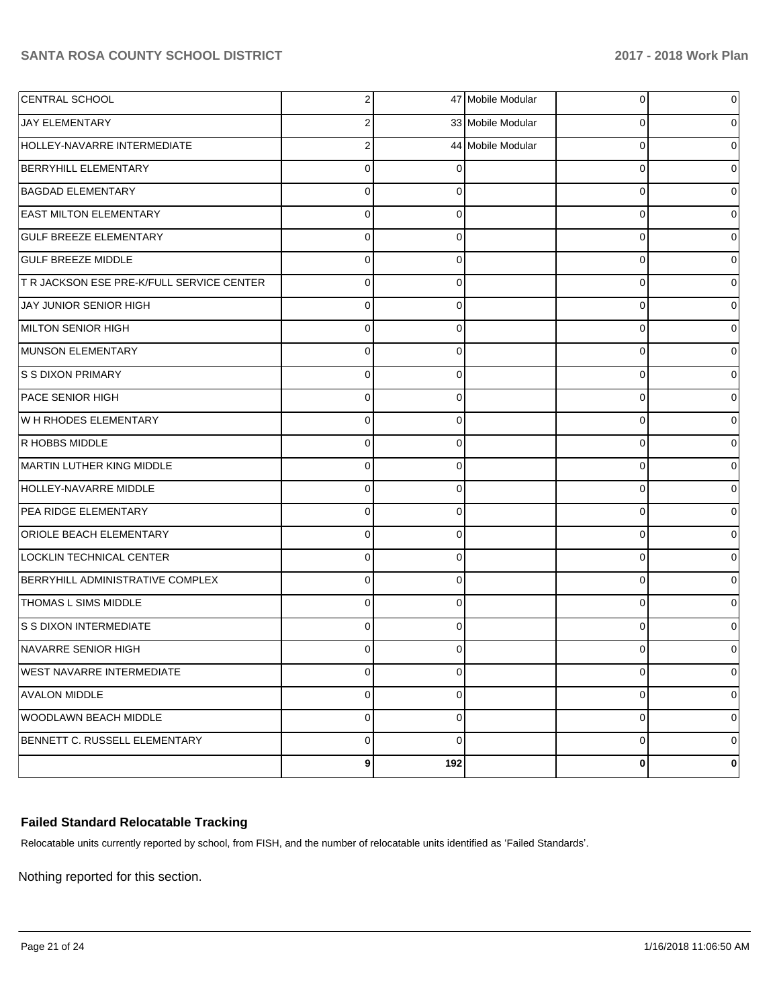|                |                                                  | 0                                                                  | 0 |
|----------------|--------------------------------------------------|--------------------------------------------------------------------|---|
| 2              |                                                  | 0                                                                  | 0 |
| $\overline{2}$ |                                                  | $\Omega$                                                           | 0 |
| $\mathbf 0$    |                                                  | $\Omega$                                                           | 0 |
| $\mathbf 0$    | 0                                                | $\Omega$                                                           | 0 |
| $\Omega$       | 0                                                | 0                                                                  | 0 |
| $\mathbf 0$    | $\Omega$                                         | $\Omega$                                                           | 0 |
| $\Omega$       | 0                                                | 0                                                                  | 0 |
| $\mathbf 0$    | $\Omega$                                         | $\Omega$                                                           | 0 |
| $\mathbf 0$    | $\Omega$                                         | $\Omega$                                                           | 0 |
| $\mathbf 0$    | $\Omega$                                         | $\Omega$                                                           | 0 |
| $\Omega$       | $\Omega$                                         | $\Omega$                                                           | 0 |
| $\mathbf 0$    | $\Omega$                                         | $\Omega$                                                           | 0 |
| $\Omega$       | 0                                                | 0                                                                  | 0 |
| $\mathbf 0$    | $\Omega$                                         | $\Omega$                                                           | 0 |
| $\mathbf 0$    | $\Omega$                                         | $\Omega$                                                           | 0 |
| $\mathbf 0$    | $\Omega$                                         | $\Omega$                                                           | 0 |
| $\Omega$       | $\Omega$                                         | $\Omega$                                                           | 0 |
| $\mathbf 0$    | $\Omega$                                         | $\Omega$                                                           | 0 |
| $\Omega$       | 0                                                | 0                                                                  | 0 |
| $\mathbf 0$    | $\Omega$                                         | $\Omega$                                                           | 0 |
| $\mathbf 0$    | $\Omega$                                         | $\Omega$                                                           | 0 |
| $\mathbf 0$    | $\Omega$                                         | $\Omega$                                                           | 0 |
| $\Omega$       | $\Omega$                                         | $\Omega$                                                           | 0 |
| 0              | $\Omega$                                         | 0                                                                  | 0 |
|                | 0                                                | 0                                                                  | 0 |
| $\overline{0}$ | $\Omega$                                         | $\mathbf 0$                                                        | 0 |
| $\overline{0}$ | 0                                                | $\mathbf 0$                                                        | 0 |
| $\overline{0}$ | $\Omega$                                         | $\mathbf 0$                                                        | 0 |
|                |                                                  | 0                                                                  | 0 |
|                | $\mathbf{2}$<br>$\overline{0}$<br>9 <sub>l</sub> | 47 Mobile Modular<br>33 Mobile Modular<br>44 Mobile Modular<br>192 |   |

### **Failed Standard Relocatable Tracking**

Relocatable units currently reported by school, from FISH, and the number of relocatable units identified as 'Failed Standards'.

Nothing reported for this section.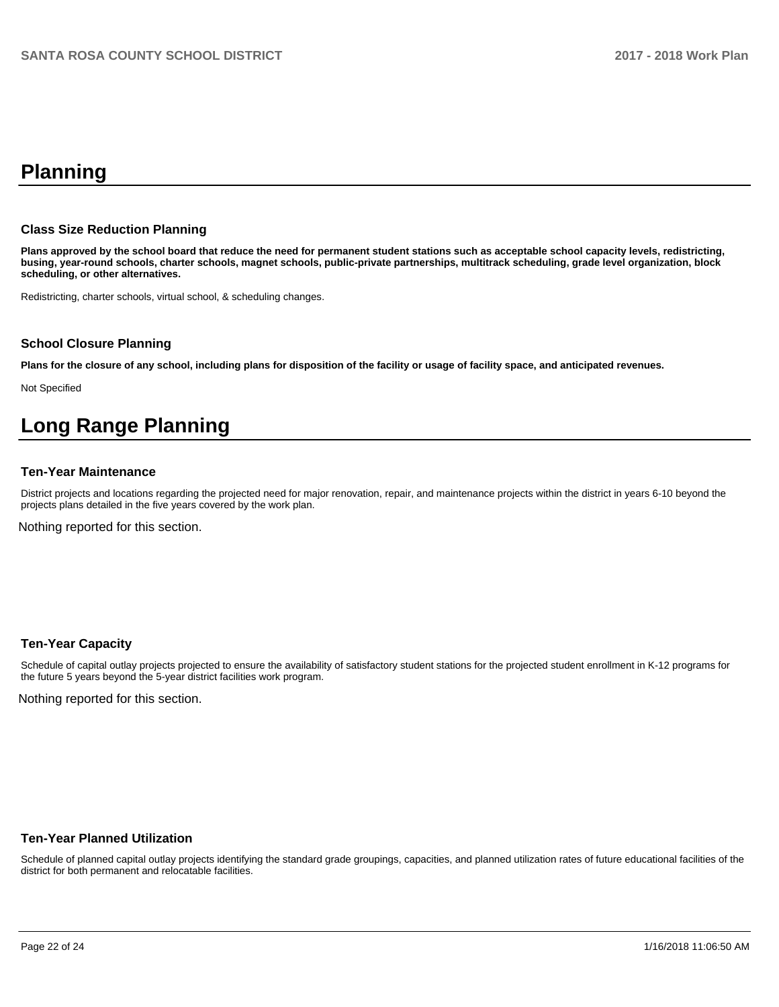# **Planning**

### **Class Size Reduction Planning**

**Plans approved by the school board that reduce the need for permanent student stations such as acceptable school capacity levels, redistricting, busing, year-round schools, charter schools, magnet schools, public-private partnerships, multitrack scheduling, grade level organization, block scheduling, or other alternatives.**

Redistricting, charter schools, virtual school, & scheduling changes.

### **School Closure Planning**

**Plans for the closure of any school, including plans for disposition of the facility or usage of facility space, and anticipated revenues.** 

Not Specified

# **Long Range Planning**

### **Ten-Year Maintenance**

District projects and locations regarding the projected need for major renovation, repair, and maintenance projects within the district in years 6-10 beyond the projects plans detailed in the five years covered by the work plan.

Nothing reported for this section.

### **Ten-Year Capacity**

Schedule of capital outlay projects projected to ensure the availability of satisfactory student stations for the projected student enrollment in K-12 programs for the future 5 years beyond the 5-year district facilities work program.

Nothing reported for this section.

### **Ten-Year Planned Utilization**

Schedule of planned capital outlay projects identifying the standard grade groupings, capacities, and planned utilization rates of future educational facilities of the district for both permanent and relocatable facilities.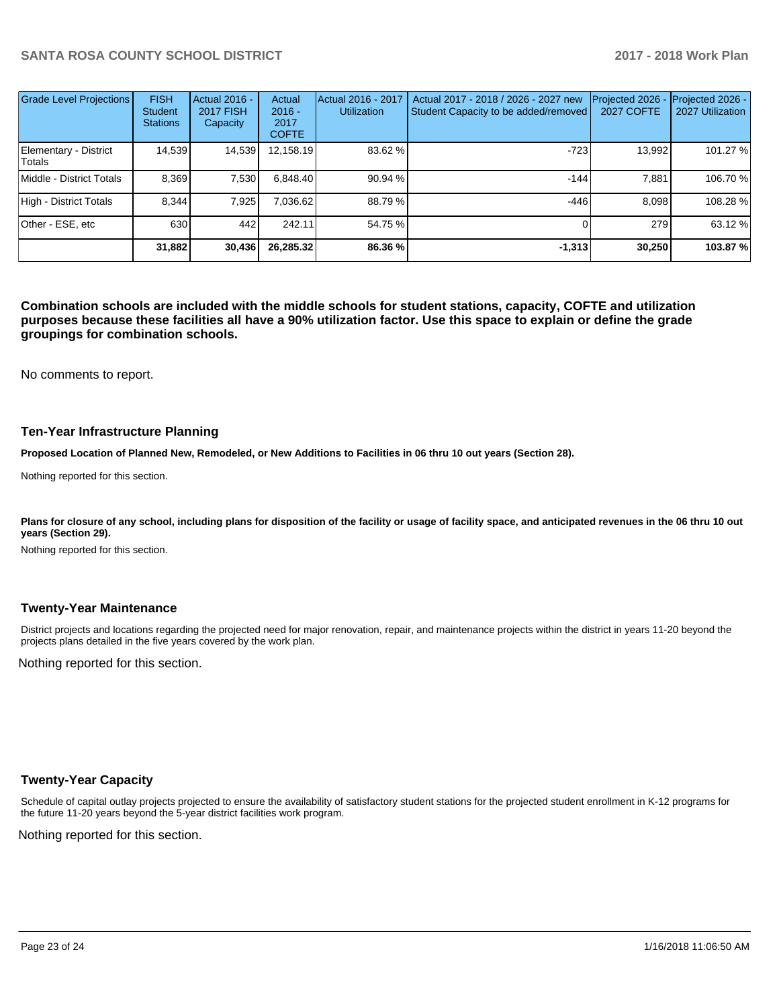| <b>Grade Level Projections</b>  | <b>FISH</b><br><b>Student</b><br><b>Stations</b> | <b>Actual 2016 -</b><br><b>2017 FISH</b><br>Capacity | Actual<br>$2016 -$<br>2017<br><b>COFTE</b> | Actual 2016 - 2017<br><b>Utilization</b> | Actual 2017 - 2018 / 2026 - 2027 new<br>Student Capacity to be added/removed | Projected 2026<br><b>2027 COFTE</b> | Projected 2026 -<br>2027 Utilization |
|---------------------------------|--------------------------------------------------|------------------------------------------------------|--------------------------------------------|------------------------------------------|------------------------------------------------------------------------------|-------------------------------------|--------------------------------------|
| Elementary - District<br>Totals | 14,539                                           | 14,539                                               | 12,158.19                                  | 83.62 %                                  | $-723$                                                                       | 13,992                              | 101.27 %                             |
| Middle - District Totals        | 8.369                                            | 7,530                                                | 6,848.40                                   | 90.94 %                                  | $-144$                                                                       | 7.881                               | 106.70 %                             |
| High - District Totals          | 8.344                                            | 7.925                                                | 7.036.62                                   | 88.79%                                   | -446                                                                         | 8.098                               | 108.28%                              |
| Other - ESE, etc                | 630                                              | 442                                                  | 242.11                                     | 54.75 %                                  |                                                                              | 279                                 | 63.12 %                              |
|                                 | 31,882                                           | 30,436                                               | 26,285.32                                  | 86.36 %                                  | $-1,313$                                                                     | 30,250                              | 103.87 %                             |

**Combination schools are included with the middle schools for student stations, capacity, COFTE and utilization purposes because these facilities all have a 90% utilization factor. Use this space to explain or define the grade groupings for combination schools.** 

No comments to report.

#### **Ten-Year Infrastructure Planning**

**Proposed Location of Planned New, Remodeled, or New Additions to Facilities in 06 thru 10 out years (Section 28).**

Nothing reported for this section.

Plans for closure of any school, including plans for disposition of the facility or usage of facility space, and anticipated revenues in the 06 thru 10 out **years (Section 29).**

Nothing reported for this section.

### **Twenty-Year Maintenance**

District projects and locations regarding the projected need for major renovation, repair, and maintenance projects within the district in years 11-20 beyond the projects plans detailed in the five years covered by the work plan.

Nothing reported for this section.

### **Twenty-Year Capacity**

Schedule of capital outlay projects projected to ensure the availability of satisfactory student stations for the projected student enrollment in K-12 programs for the future 11-20 years beyond the 5-year district facilities work program.

Nothing reported for this section.